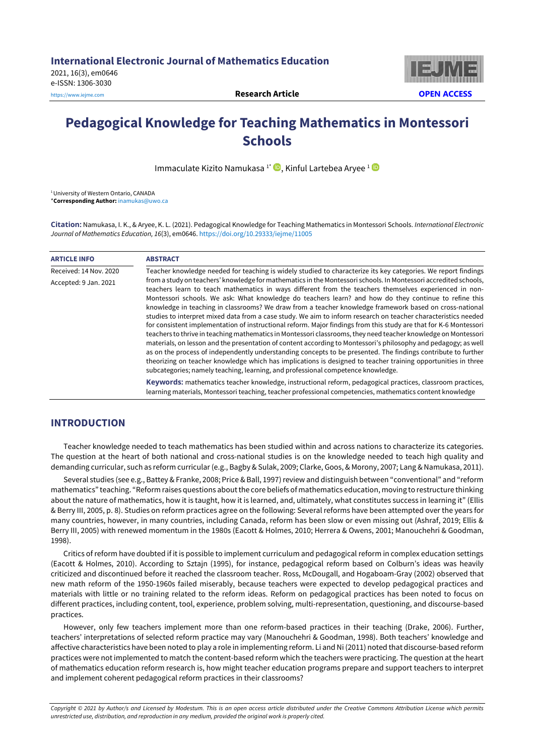2021, 16(3), em0646 e-ISSN: 1306-3030

[https://www.iejme.com](https://www.iejme.com/) **Research Article OPEN ACCESS**



# **Pedagogical Knowledge for Teaching Mathematics in Montessori Schools**

Immaculate Kizito Namukasa<sup>1</sup><sup>\*</sup> (D, Kinful Lartebea Aryee<sup>1</sup> (D

<sup>1</sup> University of Western Ontario, CANADA \***Corresponding Author:** [inamukas@uwo.ca](mailto:inamukas@uwo.ca) 

**Citation:** Namukasa, I. K., & Aryee, K. L. (2021). Pedagogical Knowledge for Teaching Mathematics in Montessori Schools. *International Electronic Journal of Mathematics Education, 16*(3), em0646[. https://doi.org/10.29333/iejme/11005](https://doi.org/10.29333/iejme/11005) 

| <b>ARTICLE INFO</b>    | <b>ABSTRACT</b>                                                                                                                                                                                                                                                                                                                                                                                                                                                                                                                                                                                                                                                                                                                                                                                                                                                                                                                                                                                                                                                                                                                                                                                                                                  |
|------------------------|--------------------------------------------------------------------------------------------------------------------------------------------------------------------------------------------------------------------------------------------------------------------------------------------------------------------------------------------------------------------------------------------------------------------------------------------------------------------------------------------------------------------------------------------------------------------------------------------------------------------------------------------------------------------------------------------------------------------------------------------------------------------------------------------------------------------------------------------------------------------------------------------------------------------------------------------------------------------------------------------------------------------------------------------------------------------------------------------------------------------------------------------------------------------------------------------------------------------------------------------------|
| Received: 14 Nov. 2020 | Teacher knowledge needed for teaching is widely studied to characterize its key categories. We report findings                                                                                                                                                                                                                                                                                                                                                                                                                                                                                                                                                                                                                                                                                                                                                                                                                                                                                                                                                                                                                                                                                                                                   |
| Accepted: 9 Jan. 2021  | from a study on teachers' knowledge for mathematics in the Montessori schools. In Montessori accredited schools,<br>teachers learn to teach mathematics in ways different from the teachers themselves experienced in non-<br>Montessori schools. We ask: What knowledge do teachers learn? and how do they continue to refine this<br>knowledge in teaching in classrooms? We draw from a teacher knowledge framework based on cross-national<br>studies to interpret mixed data from a case study. We aim to inform research on teacher characteristics needed<br>for consistent implementation of instructional reform. Major findings from this study are that for K-6 Montessori<br>teachers to thrive in teaching mathematics in Montessori classrooms, they need teacher knowledge on Montessori<br>materials, on lesson and the presentation of content according to Montessori's philosophy and pedagogy; as well<br>as on the process of independently understanding concepts to be presented. The findings contribute to further<br>theorizing on teacher knowledge which has implications is designed to teacher training opportunities in three<br>subcategories; namely teaching, learning, and professional competence knowledge. |
|                        | Keywords: mathematics teacher knowledge, instructional reform, pedagogical practices, classroom practices,<br>learning materials, Montessori teaching, teacher professional competencies, mathematics content knowledge                                                                                                                                                                                                                                                                                                                                                                                                                                                                                                                                                                                                                                                                                                                                                                                                                                                                                                                                                                                                                          |

## **INTRODUCTION**

Teacher knowledge needed to teach mathematics has been studied within and across nations to characterize its categories. The question at the heart of both national and cross-national studies is on the knowledge needed to teach high quality and demanding curricular, such as reform curricular(e.g., Bagby & Sulak, 2009; Clarke, Goos, & Morony, 2007; Lang & Namukasa, 2011).

Several studies (see e.g., Battey & Franke, 2008; Price & Ball, 1997) review and distinguish between "conventional" and "reform mathematics" teaching. "Reform raises questions aboutthe core beliefs of mathematics education, moving to restructure thinking about the nature of mathematics, how it is taught, how it is learned, and, ultimately, what constitutes success in learning it" (Ellis & Berry III, 2005, p. 8). Studies on reform practices agree on the following: Several reforms have been attempted over the years for many countries, however, in many countries, including Canada, reform has been slow or even missing out (Ashraf, 2019; Ellis & Berry III, 2005) with renewed momentum in the 1980s (Eacott & Holmes, 2010; Herrera & Owens, 2001; Manouchehri & Goodman, 1998).

Critics of reform have doubted if it is possible to implement curriculum and pedagogical reform in complex education settings (Eacott & Holmes, 2010). According to Sztajn (1995), for instance, pedagogical reform based on Colburn's ideas was heavily criticized and discontinued before it reached the classroom teacher. Ross, McDougall, and Hogaboam-Gray (2002) observed that new math reform of the 1950-1960s failed miserably, because teachers were expected to develop pedagogical practices and materials with little or no training related to the reform ideas. Reform on pedagogical practices has been noted to focus on different practices, including content, tool, experience, problem solving, multi-representation, questioning, and discourse-based practices.

However, only few teachers implement more than one reform-based practices in their teaching (Drake, 2006). Further, teachers' interpretations of selected reform practice may vary (Manouchehri & Goodman, 1998). Both teachers' knowledge and affective characteristics have been noted to play a role in implementing reform. Li and Ni (2011) noted that discourse-based reform practices were not implemented to match the content-based reform which the teachers were practicing. The question atthe heart of mathematics education reform research is, how might teacher education programs prepare and support teachers to interpret and implement coherent pedagogical reform practices in their classrooms?

Copyright © 2021 by Author/s and Licensed by Modestum. This is an open access article distributed under the Creative Commons Attribution License which permits *unrestricted use, distribution, and reproduction in any medium, provided the original work is properly cited.*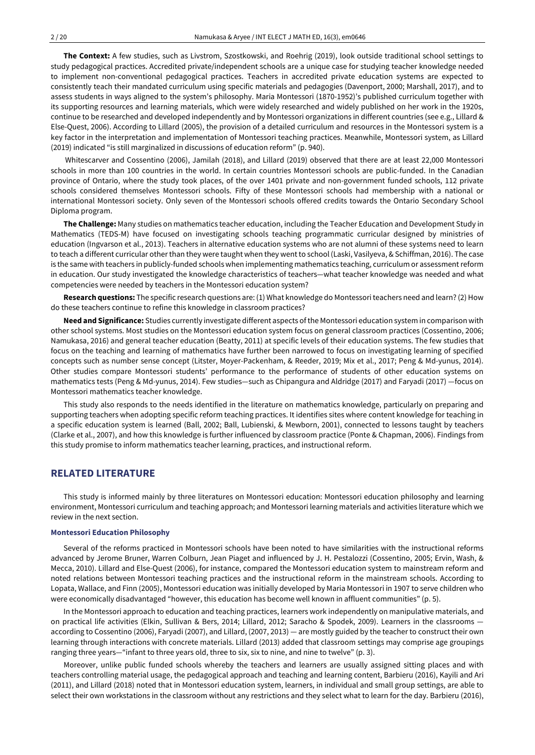**The Context:** A few studies, such as Livstrom, Szostkowski, and Roehrig (2019), look outside traditional school settings to study pedagogical practices. Accredited private/independent schools are a unique case for studying teacher knowledge needed to implement non-conventional pedagogical practices. Teachers in accredited private education systems are expected to consistently teach their mandated curriculum using specific materials and pedagogies (Davenport, 2000; Marshall, 2017), and to assess students in ways aligned to the system's philosophy. Maria Montessori (1870-1952)'s published curriculum together with its supporting resources and learning materials, which were widely researched and widely published on her work in the 1920s, continue to be researched and developed independently and by Montessori organizations in different countries (see e.g., Lillard & Else-Quest, 2006). According to Lillard (2005), the provision of a detailed curriculum and resources in the Montessori system is a key factor in the interpretation and implementation of Montessori teaching practices. Meanwhile, Montessori system, as Lillard (2019) indicated "is still marginalized in discussions of education reform" (p. 940).

Whitescarver and Cossentino (2006), Jamilah (2018), and Lillard (2019) observed that there are at least 22,000 Montessori schools in more than 100 countries in the world. In certain countries Montessori schools are public-funded. In the Canadian province of Ontario, where the study took places, of the over 1401 private and non-government funded schools, 112 private schools considered themselves Montessori schools. Fifty of these Montessori schools had membership with a national or international Montessori society. Only seven of the Montessori schools offered credits towards the Ontario Secondary School Diploma program.

**The Challenge:** Many studies on mathematics teacher education, including the Teacher Education and Development Study in Mathematics (TEDS-M) have focused on investigating schools teaching programmatic curricular designed by ministries of education (Ingvarson et al., 2013). Teachers in alternative education systems who are not alumni of these systems need to learn to teach a different curricular other than they were taught when they went to school (Laski, Vasilyeva, & Schiffman, 2016). The case is the same with teachers in publicly-funded schools when implementing mathematics teaching, curriculum or assessment reform in education. Our study investigated the knowledge characteristics of teachers—what teacher knowledge was needed and what competencies were needed by teachers in the Montessori education system?

**Research questions:** The specific research questions are: (1) What knowledge do Montessoriteachers need and learn? (2) How do these teachers continue to refine this knowledge in classroom practices?

**Need and Significance:** Studies currently investigate different aspects ofthe Montessori education system in comparison with other school systems. Most studies on the Montessori education system focus on general classroom practices (Cossentino, 2006; Namukasa, 2016) and general teacher education (Beatty, 2011) at specific levels of their education systems. The few studies that focus on the teaching and learning of mathematics have further been narrowed to focus on investigating learning of specified concepts such as number sense concept (Litster, Moyer-Packenham, & Reeder, 2019; Mix et al., 2017; Peng & Md-yunus, 2014). Other studies compare Montessori students' performance to the performance of students of other education systems on mathematics tests (Peng & Md-yunus, 2014). Few studies—such as Chipangura and Aldridge (2017) and Faryadi (2017) —focus on Montessori mathematics teacher knowledge.

This study also responds to the needs identified in the literature on mathematics knowledge, particularly on preparing and supporting teachers when adopting specific reform teaching practices. It identifies sites where content knowledge for teaching in a specific education system is learned (Ball, 2002; Ball, Lubienski, & Mewborn, 2001), connected to lessons taught by teachers (Clarke et al., 2007), and how this knowledge is further influenced by classroom practice (Ponte & Chapman, 2006). Findings from this study promise to inform mathematics teacher learning, practices, and instructional reform.

### **RELATED LITERATURE**

This study is informed mainly by three literatures on Montessori education: Montessori education philosophy and learning environment, Montessori curriculum and teaching approach; and Montessori learning materials and activities literature which we review in the next section.

#### **Montessori Education Philosophy**

Several of the reforms practiced in Montessori schools have been noted to have similarities with the instructional reforms advanced by Jerome Bruner, Warren Colburn, Jean Piaget and influenced by J. H. Pestalozzi (Cossentino, 2005; Ervin, Wash, & Mecca, 2010). Lillard and Else-Quest (2006), for instance, compared the Montessori education system to mainstream reform and noted relations between Montessori teaching practices and the instructional reform in the mainstream schools. According to Lopata, Wallace, and Finn (2005), Montessori education was initially developed by Maria Montessori in 1907 to serve children who were economically disadvantaged "however, this education has become well known in affluent communities" (p. 5).

In the Montessori approach to education and teaching practices, learners work independently on manipulative materials, and on practical life activities (Elkin, Sullivan & Bers, 2014; Lillard, 2012; Saracho & Spodek, 2009). Learners in the classrooms according to Cossentino (2006), Faryadi (2007), and Lillard, (2007, 2013) — are mostly guided by the teacher to construct their own learning through interactions with concrete materials. Lillard (2013) added that classroom settings may comprise age groupings ranging three years—"infant to three years old, three to six, six to nine, and nine to twelve" (p. 3).

Moreover, unlike public funded schools whereby the teachers and learners are usually assigned sitting places and with teachers controlling material usage, the pedagogical approach and teaching and learning content, Barbieru (2016), Kayili and Ari (2011), and Lillard (2018) noted that in Montessori education system, learners, in individual and small group settings, are able to select their own workstations in the classroom without any restrictions and they select what to learn for the day. Barbieru (2016),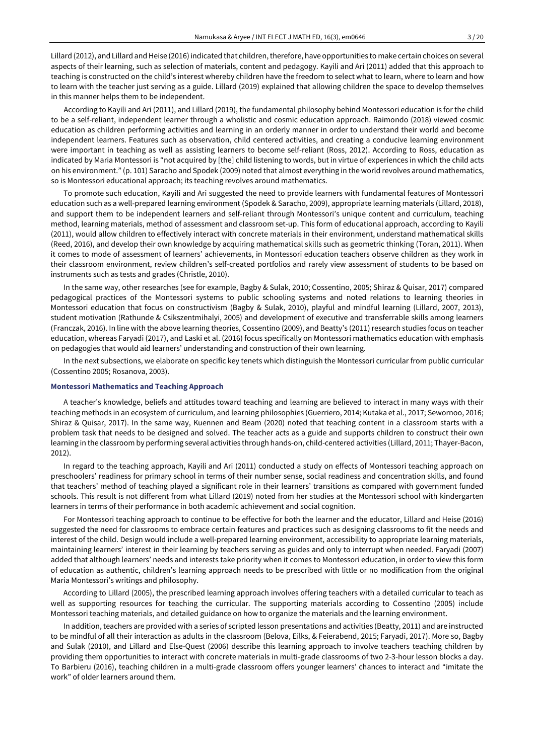Lillard (2012), and Lillard and Heise (2016) indicated that children,therefore, have opportunities to make certain choices on several aspects of their learning, such as selection of materials, content and pedagogy. Kayili and Ari (2011) added that this approach to teaching is constructed on the child's interest whereby children have the freedom to select what to learn, where to learn and how to learn with the teacher just serving as a guide. Lillard (2019) explained that allowing children the space to develop themselves in this manner helps them to be independent.

According to Kayili and Ari (2011), and Lillard (2019), the fundamental philosophy behind Montessori education is for the child to be a self-reliant, independent learner through a wholistic and cosmic education approach. Raimondo (2018) viewed cosmic education as children performing activities and learning in an orderly manner in order to understand their world and become independent learners. Features such as observation, child centered activities, and creating a conducive learning environment were important in teaching as well as assisting learners to become self-reliant (Ross, 2012). According to Ross, education as indicated by Maria Montessori is "not acquired by [the] child listening to words, but in virtue of experiences in which the child acts on his environment." (p. 101) Saracho and Spodek (2009) noted that almost everything in the world revolves around mathematics, so is Montessori educational approach; its teaching revolves around mathematics.

To promote such education, Kayili and Ari suggested the need to provide learners with fundamental features of Montessori education such as a well-prepared learning environment (Spodek & Saracho, 2009), appropriate learning materials (Lillard, 2018), and support them to be independent learners and self-reliant through Montessori's unique content and curriculum, teaching method, learning materials, method of assessment and classroom set-up. This form of educational approach, according to Kayili (2011), would allow children to effectively interact with concrete materials in their environment, understand mathematical skills (Reed, 2016), and develop their own knowledge by acquiring mathematical skills such as geometric thinking (Toran, 2011). When it comes to mode of assessment of learners' achievements, in Montessori education teachers observe children as they work in their classroom environment, review children's self-created portfolios and rarely view assessment of students to be based on instruments such as tests and grades (Christle, 2010).

In the same way, other researches (see for example, Bagby & Sulak, 2010; Cossentino, 2005; Shiraz & Quisar, 2017) compared pedagogical practices of the Montessori systems to public schooling systems and noted relations to learning theories in Montessori education that focus on constructivism (Bagby & Sulak, 2010), playful and mindful learning (Lillard, 2007, 2013), student motivation (Rathunde & Csikszentmihalyi, 2005) and development of executive and transferrable skills among learners (Franczak, 2016). In line with the above learning theories, Cossentino (2009), and Beatty's (2011) research studies focus on teacher education, whereas Faryadi (2017), and Laski et al. (2016) focus specifically on Montessori mathematics education with emphasis on pedagogies that would aid learners' understanding and construction of their own learning.

In the next subsections, we elaborate on specific key tenets which distinguish the Montessori curricular from public curricular (Cossentino 2005; Rosanova, 2003).

#### **Montessori Mathematics and Teaching Approach**

A teacher's knowledge, beliefs and attitudes toward teaching and learning are believed to interact in many ways with their teaching methods in an ecosystem of curriculum, and learning philosophies (Guerriero, 2014; Kutaka et al., 2017; Sewornoo, 2016; Shiraz & Quisar, 2017). In the same way, Kuennen and Beam (2020) noted that teaching content in a classroom starts with a problem task that needs to be designed and solved. The teacher acts as a guide and supports children to construct their own learning in the classroom by performing several activities through hands-on, child-centered activities (Lillard, 2011; Thayer-Bacon, 2012).

In regard to the teaching approach, Kayili and Ari (2011) conducted a study on effects of Montessori teaching approach on preschoolers' readiness for primary school in terms of their number sense, social readiness and concentration skills, and found that teachers' method of teaching played a significant role in their learners' transitions as compared with government funded schools. This result is not different from what Lillard (2019) noted from her studies at the Montessori school with kindergarten learners in terms of their performance in both academic achievement and social cognition.

For Montessori teaching approach to continue to be effective for both the learner and the educator, Lillard and Heise (2016) suggested the need for classrooms to embrace certain features and practices such as designing classrooms to fit the needs and interest of the child. Design would include a well-prepared learning environment, accessibility to appropriate learning materials, maintaining learners' interest in their learning by teachers serving as guides and only to interrupt when needed. Faryadi (2007) added that although learners' needs and interests take priority when it comes to Montessori education, in order to view this form of education as authentic, children's learning approach needs to be prescribed with little or no modification from the original Maria Montessori's writings and philosophy.

According to Lillard (2005), the prescribed learning approach involves offering teachers with a detailed curricular to teach as well as supporting resources for teaching the curricular. The supporting materials according to Cossentino (2005) include Montessori teaching materials, and detailed guidance on how to organize the materials and the learning environment.

In addition, teachers are provided with a series of scripted lesson presentations and activities (Beatty, 2011) and are instructed to be mindful of all their interaction as adults in the classroom (Belova, Eilks, & Feierabend, 2015; Faryadi, 2017). More so, Bagby and Sulak (2010), and Lillard and Else-Quest (2006) describe this learning approach to involve teachers teaching children by providing them opportunities to interact with concrete materials in multi-grade classrooms of two 2-3-hour lesson blocks a day. To Barbieru (2016), teaching children in a multi-grade classroom offers younger learners' chances to interact and "imitate the work" of older learners around them.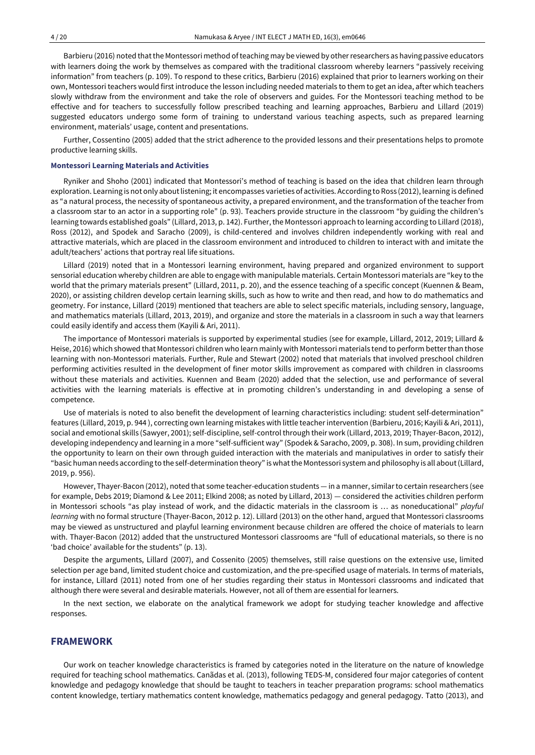Barbieru (2016) noted that the Montessori method of teaching may be viewed by other researchers as having passive educators with learners doing the work by themselves as compared with the traditional classroom whereby learners "passively receiving information" from teachers (p. 109). To respond to these critics, Barbieru (2016) explained that prior to learners working on their own, Montessori teachers would first introduce the lesson including needed materials to them to get an idea, after which teachers slowly withdraw from the environment and take the role of observers and guides. For the Montessori teaching method to be effective and for teachers to successfully follow prescribed teaching and learning approaches, Barbieru and Lillard (2019) suggested educators undergo some form of training to understand various teaching aspects, such as prepared learning environment, materials' usage, content and presentations.

Further, Cossentino (2005) added that the strict adherence to the provided lessons and their presentations helps to promote productive learning skills.

#### **Montessori Learning Materials and Activities**

Ryniker and Shoho (2001) indicated that Montessori's method of teaching is based on the idea that children learn through exploration. Learning is not only aboutlistening; it encompasses varieties of activities. According to Ross (2012), learning is defined as "a natural process, the necessity of spontaneous activity, a prepared environment, and the transformation of the teacher from a classroom star to an actor in a supporting role" (p. 93). Teachers provide structure in the classroom "by guiding the children's learning towards established goals" (Lillard, 2013, p. 142). Further, the Montessori approach to learning according to Lillard (2018), Ross (2012), and Spodek and Saracho (2009), is child-centered and involves children independently working with real and attractive materials, which are placed in the classroom environment and introduced to children to interact with and imitate the adult/teachers' actions that portray real life situations.

Lillard (2019) noted that in a Montessori learning environment, having prepared and organized environment to support sensorial education whereby children are able to engage with manipulable materials. Certain Montessori materials are "key to the world that the primary materials present" (Lillard, 2011, p. 20), and the essence teaching of a specific concept (Kuennen & Beam, 2020), or assisting children develop certain learning skills, such as how to write and then read, and how to do mathematics and geometry. For instance, Lillard (2019) mentioned that teachers are able to select specific materials, including sensory, language, and mathematics materials (Lillard, 2013, 2019), and organize and store the materials in a classroom in such a way that learners could easily identify and access them (Kayili & Ari, 2011).

The importance of Montessori materials is supported by experimental studies (see for example, Lillard, 2012, 2019; Lillard & Heise, 2016) which showed that Montessori children who learn mainly with Montessori materials tend to perform betterthan those learning with non-Montessori materials. Further, Rule and Stewart (2002) noted that materials that involved preschool children performing activities resulted in the development of finer motor skills improvement as compared with children in classrooms without these materials and activities. Kuennen and Beam (2020) added that the selection, use and performance of several activities with the learning materials is effective at in promoting children's understanding in and developing a sense of competence.

Use of materials is noted to also benefit the development of learning characteristics including: student self-determination" features (Lillard, 2019, p. 944 ), correcting own learning mistakes with little teacher intervention (Barbieru, 2016; Kayili & Ari, 2011), social and emotional skills (Sawyer, 2001); self-discipline, self-controlthrough their work (Lillard, 2013, 2019; Thayer-Bacon, 2012), developing independency and learning in a more "self-sufficient way" (Spodek & Saracho, 2009, p. 308). In sum, providing children the opportunity to learn on their own through guided interaction with the materials and manipulatives in order to satisfy their "basic human needs according to the self-determination theory" iswhatthe Montessori system and philosophy is all about(Lillard, 2019, p. 956).

However, Thayer-Bacon (2012), noted that some teacher-education students — in a manner, similarto certain researchers (see for example, Debs 2019; Diamond & Lee 2011; Elkind 2008; as noted by Lillard, 2013) — considered the activities children perform in Montessori schools "as play instead of work, and the didactic materials in the classroom is … as noneducational" *playful learning* with no formal structure (Thayer-Bacon, 2012 p. 12). Lillard (2013) on the other hand, argued that Montessori classrooms may be viewed as unstructured and playful learning environment because children are offered the choice of materials to learn with. Thayer-Bacon (2012) added that the unstructured Montessori classrooms are "full of educational materials, so there is no 'bad choice' available for the students" (p. 13).

Despite the arguments, Lillard (2007), and Cossenito (2005) themselves, still raise questions on the extensive use, limited selection per age band, limited student choice and customization, and the pre-specified usage of materials. In terms of materials, for instance, Lillard (2011) noted from one of her studies regarding their status in Montessori classrooms and indicated that although there were several and desirable materials. However, not all of them are essential for learners.

In the next section, we elaborate on the analytical framework we adopt for studying teacher knowledge and affective responses.

## **FRAMEWORK**

Our work on teacher knowledge characteristics is framed by categories noted in the literature on the nature of knowledge required for teaching school mathematics. Canãdas et al. (2013), following TEDS-M, considered four major categories of content knowledge and pedagogy knowledge that should be taught to teachers in teacher preparation programs: school mathematics content knowledge, tertiary mathematics content knowledge, mathematics pedagogy and general pedagogy. Tatto (2013), and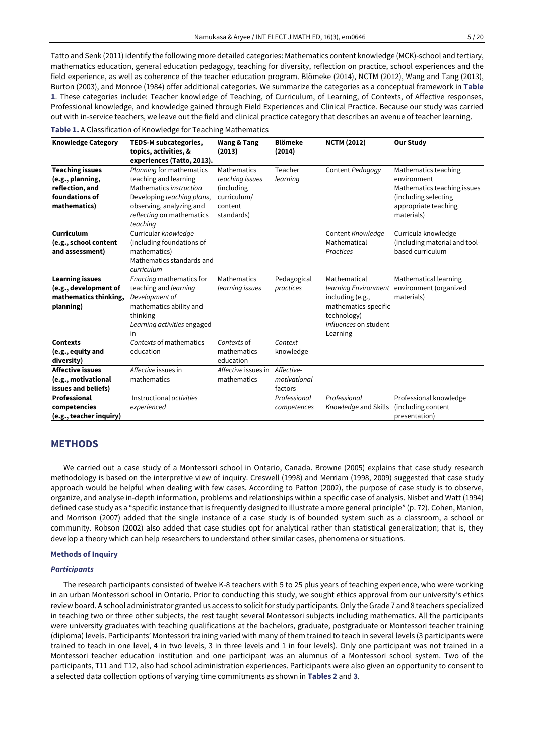Tatto and Senk (2011) identify the following more detailed categories: Mathematics content knowledge (MCK)-school and tertiary, mathematics education, general education pedagogy, teaching for diversity, reflection on practice, school experiences and the field experience, as well as coherence of the teacher education program. Blömeke (2014), NCTM (2012), Wang and Tang (2013), Burton (2003), and Monroe (1984) offer additional categories. We summarize the categories as a conceptual framework in **Table 1**. These categories include: Teacher knowledge of Teaching, of Curriculum, of Learning, of Contexts, of Affective responses, Professional knowledge, and knowledge gained through Field Experiences and Clinical Practice. Because our study was carried out with in-service teachers, we leave out the field and clinical practice category that describes an avenue of teacher learning.

### **Table 1.** A Classification of Knowledge for Teaching Mathematics

| <b>Knowledge Category</b>                                                                       | TEDS-M subcategories,<br>topics, activities, &<br>experiences (Tatto, 2013).                                                                                                    | <b>Wang &amp; Tang</b><br>(2013)                                                     | <b>Blömeke</b><br>(2014)              | <b>NCTM (2012)</b>                                                                                           | <b>Our Study</b>                                                                                                                 |
|-------------------------------------------------------------------------------------------------|---------------------------------------------------------------------------------------------------------------------------------------------------------------------------------|--------------------------------------------------------------------------------------|---------------------------------------|--------------------------------------------------------------------------------------------------------------|----------------------------------------------------------------------------------------------------------------------------------|
| <b>Teaching issues</b><br>(e.g., planning,<br>reflection, and<br>foundations of<br>mathematics) | Planning for mathematics<br>teaching and learning<br>Mathematics instruction<br>Developing teaching plans,<br>observing, analyzing and<br>reflecting on mathematics<br>teaching | Mathematics<br>teaching issues<br>(including<br>curriculum/<br>content<br>standards) | Teacher<br>learning                   | Content Pedagogy                                                                                             | Mathematics teaching<br>environment<br>Mathematics teaching issues<br>(including selecting<br>appropriate teaching<br>materials) |
| Curriculum<br>(e.g., school content<br>and assessment)                                          | Curricular knowledge<br>(including foundations of<br>mathematics)<br>Mathematics standards and<br>curriculum                                                                    |                                                                                      |                                       | Content Knowledge<br>Mathematical<br>Practices                                                               | Curricula knowledge<br>(including material and tool-<br>based curriculum                                                         |
| <b>Learning issues</b><br>(e.g., development of<br>mathematics thinking,<br>planning)           | Enacting mathematics for<br>teaching and learning<br>Development of<br>mathematics ability and<br>thinking<br>Learning activities engaged<br>in                                 | Mathematics<br>learning issues                                                       | Pedagogical<br>practices              | Mathematical<br>including (e.g.,<br>mathematics-specific<br>technology)<br>Influences on student<br>Learning | Mathematical learning<br>learning Environment environment (organized<br>materials)                                               |
| <b>Contexts</b><br>(e.g., equity and<br>diversity)                                              | Contexts of mathematics<br>education                                                                                                                                            | Contexts of<br>mathematics<br>education                                              | Context<br>knowledge                  |                                                                                                              |                                                                                                                                  |
| <b>Affective issues</b><br>(e.g., motivational<br>issues and beliefs)                           | Affective issues in<br>mathematics                                                                                                                                              | Affective issues in<br>mathematics                                                   | Affective-<br>motivational<br>factors |                                                                                                              |                                                                                                                                  |
| Professional<br>competencies<br>(e.g., teacher inquiry)                                         | Instructional activities<br>experienced                                                                                                                                         |                                                                                      | Professional<br>competences           | Professional<br>Knowledge and Skills                                                                         | Professional knowledge<br>(including content<br>presentation)                                                                    |

### **METHODS**

We carried out a case study of a Montessori school in Ontario, Canada. Browne (2005) explains that case study research methodology is based on the interpretive view of inquiry. Creswell (1998) and Merriam (1998, 2009) suggested that case study approach would be helpful when dealing with few cases. According to Patton (2002), the purpose of case study is to observe, organize, and analyse in-depth information, problems and relationships within a specific case of analysis. Nisbet and Watt (1994) defined case study as a "specific instance that is frequently designed to illustrate a more general principle" (p. 72). Cohen, Manion, and Morrison (2007) added that the single instance of a case study is of bounded system such as a classroom, a school or community. Robson (2002) also added that case studies opt for analytical rather than statistical generalization; that is, they develop a theory which can help researchers to understand other similar cases, phenomena or situations.

#### **Methods of Inquiry**

#### *Participants*

The research participants consisted of twelve K-8 teachers with 5 to 25 plus years of teaching experience, who were working in an urban Montessori school in Ontario. Prior to conducting this study, we sought ethics approval from our university's ethics review board. A school administrator granted us access to solicit for study participants. Only the Grade 7 and 8 teachers specialized in teaching two or three other subjects, the rest taught several Montessori subjects including mathematics. All the participants were university graduates with teaching qualifications at the bachelors, graduate, postgraduate or Montessori teacher training (diploma) levels. Participants' Montessori training varied with many of them trained to teach in several levels (3 participants were trained to teach in one level, 4 in two levels, 3 in three levels and 1 in four levels). Only one participant was not trained in a Montessori teacher education institution and one participant was an alumnus of a Montessori school system. Two of the participants, T11 and T12, also had school administration experiences. Participants were also given an opportunity to consent to a selected data collection options of varying time commitments as shown in **Tables 2** and **3**.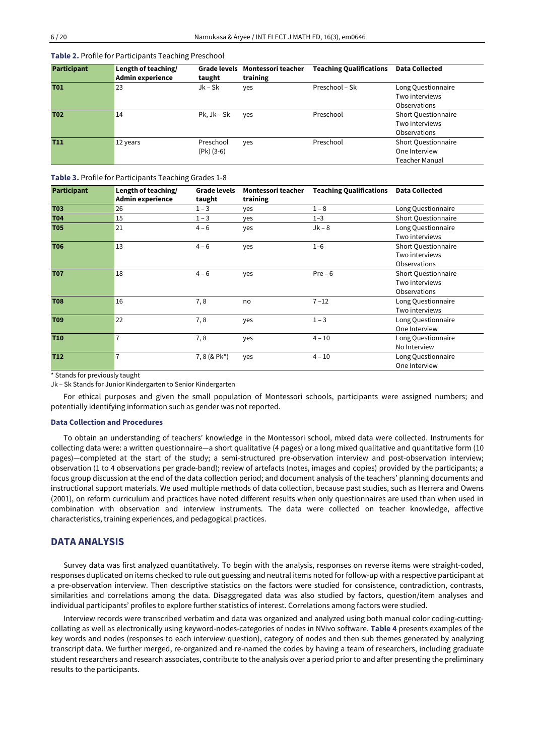**Table 2.** Profile for Participants Teaching Preschool

| <b>Participant</b> | Length of teaching/<br><b>Admin experience</b> | Grade levels<br>taught | Montessori teacher<br>training | <b>Teaching Qualifications</b> | <b>Data Collected</b>                |
|--------------------|------------------------------------------------|------------------------|--------------------------------|--------------------------------|--------------------------------------|
| <b>T01</b>         | 23                                             | Jk – Sk                | yes                            | Preschool - Sk                 | Long Questionnaire<br>Two interviews |
|                    |                                                |                        |                                |                                | Observations                         |
| <b>T02</b>         | 14                                             | $Pk, Jk - Sk$          | yes                            | Preschool                      | <b>Short Questionnaire</b>           |
|                    |                                                |                        |                                |                                | Two interviews                       |
|                    |                                                |                        |                                |                                | Observations                         |
| <b>T11</b>         | 12 years                                       | Preschool              | yes                            | Preschool                      | <b>Short Questionnaire</b>           |
|                    |                                                | $(Pk)$ (3-6)           |                                |                                | One Interview                        |
|                    |                                                |                        |                                |                                | <b>Teacher Manual</b>                |

**Table 3.** Profile for Participants Teaching Grades 1-8

| <b>Participant</b> | Length of teaching/<br><b>Admin experience</b> | <b>Grade levels</b><br>taught | Montessori teacher<br>training | <b>Teaching Qualifications</b> | <b>Data Collected</b>                                 |
|--------------------|------------------------------------------------|-------------------------------|--------------------------------|--------------------------------|-------------------------------------------------------|
| <b>T03</b>         | 26                                             | $1 - 3$                       | ves                            | $1 - 8$                        | Long Questionnaire                                    |
| <b>T04</b>         | 15                                             | $1 - 3$                       | yes                            | $1 - 3$                        | <b>Short Questionnaire</b>                            |
| <b>T05</b>         | 21                                             | $4 - 6$                       | yes                            | $Jk - 8$                       | Long Questionnaire<br>Two interviews                  |
| <b>T06</b>         | 13                                             | $4 - 6$                       | yes                            | $1 - 6$                        | Short Questionnaire<br>Two interviews<br>Observations |
| <b>T07</b>         | 18                                             | $4 - 6$                       | yes                            | $Pre-6$                        | Short Questionnaire<br>Two interviews<br>Observations |
| <b>T08</b>         | 16                                             | 7,8                           | no                             | $7 - 12$                       | Long Questionnaire<br>Two interviews                  |
| <b>T09</b>         | 22                                             | 7,8                           | yes                            | $1 - 3$                        | Long Questionnaire<br>One Interview                   |
| <b>T10</b>         | 7                                              | 7,8                           | yes                            | $4 - 10$                       | Long Questionnaire<br>No Interview                    |
| <b>T12</b>         | 7                                              | $7, 8 (8$ Pk <sup>*</sup> )   | yes                            | $4 - 10$                       | Long Questionnaire<br>One Interview                   |

\* Stands for previously taught

Jk – Sk Stands for Junior Kindergarten to Senior Kindergarten

For ethical purposes and given the small population of Montessori schools, participants were assigned numbers; and potentially identifying information such as gender was not reported.

#### **Data Collection and Procedures**

To obtain an understanding of teachers' knowledge in the Montessori school, mixed data were collected. Instruments for collecting data were: a written questionnaire—a short qualitative (4 pages) or a long mixed qualitative and quantitative form (10 pages)—completed at the start of the study; a semi-structured pre-observation interview and post-observation interview; observation (1 to 4 observations per grade-band); review of artefacts (notes, images and copies) provided by the participants; a focus group discussion at the end of the data collection period; and document analysis of the teachers' planning documents and instructional support materials. We used multiple methods of data collection, because past studies, such as Herrera and Owens (2001), on reform curriculum and practices have noted different results when only questionnaires are used than when used in combination with observation and interview instruments. The data were collected on teacher knowledge, affective characteristics, training experiences, and pedagogical practices.

### **DATA ANALYSIS**

Survey data was first analyzed quantitatively. To begin with the analysis, responses on reverse items were straight-coded, responses duplicated on items checked to rule out guessing and neutral items noted for follow-up with a respective participant at a pre-observation interview. Then descriptive statistics on the factors were studied for consistence, contradiction, contrasts, similarities and correlations among the data. Disaggregated data was also studied by factors, question/item analyses and individual participants' profiles to explore further statistics of interest. Correlations among factors were studied.

Interview records were transcribed verbatim and data was organized and analyzed using both manual color coding-cuttingcollating as well as electronically using keyword-nodes-categories of nodes in NVivo software. **Table 4** presents examples of the key words and nodes (responses to each interview question), category of nodes and then sub themes generated by analyzing transcript data. We further merged, re-organized and re-named the codes by having a team of researchers, including graduate student researchers and research associates, contribute to the analysis over a period prior to and after presenting the preliminary results to the participants.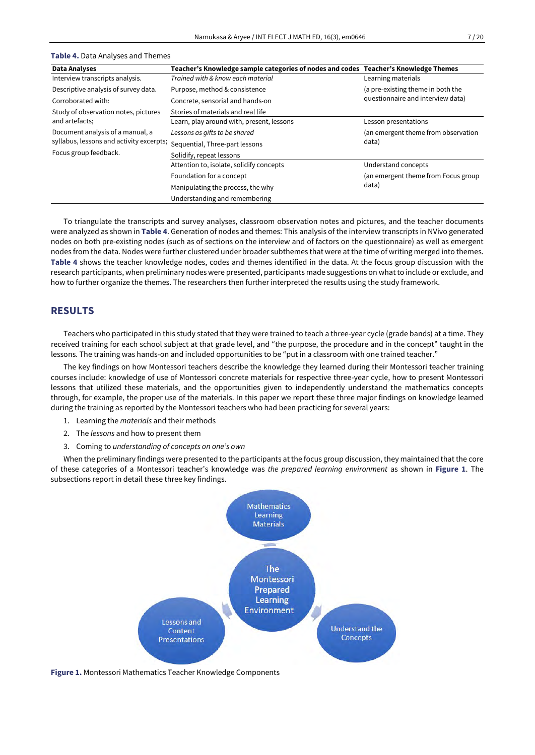| <b>Data Analyses</b>                     | Teacher's Knowledge sample categories of nodes and codes Teacher's Knowledge Themes |                                                                        |  |
|------------------------------------------|-------------------------------------------------------------------------------------|------------------------------------------------------------------------|--|
| Interview transcripts analysis.          | Trained with & know each material                                                   | Learning materials                                                     |  |
| Descriptive analysis of survey data.     | Purpose, method & consistence                                                       | (a pre-existing theme in both the<br>questionnaire and interview data) |  |
| Corroborated with:                       | Concrete, sensorial and hands-on                                                    |                                                                        |  |
| Study of observation notes, pictures     | Stories of materials and real life                                                  |                                                                        |  |
| and artefacts;                           | Learn, play around with, present, lessons                                           | Lesson presentations                                                   |  |
| Document analysis of a manual, a         | Lessons as gifts to be shared                                                       | (an emergent theme from observation                                    |  |
| syllabus, lessons and activity excerpts; | Sequential, Three-part lessons                                                      | data)                                                                  |  |
| Focus group feedback.                    | Solidify, repeat lessons                                                            |                                                                        |  |
|                                          | Attention to, isolate, solidify concepts                                            | Understand concepts                                                    |  |
|                                          | Foundation for a concept                                                            | (an emergent theme from Focus group                                    |  |
|                                          | Manipulating the process, the why                                                   | data)                                                                  |  |
|                                          | Understanding and remembering                                                       |                                                                        |  |

#### **Table 4.** Data Analyses and Themes

To triangulate the transcripts and survey analyses, classroom observation notes and pictures, and the teacher documents were analyzed as shown in **Table 4**. Generation of nodes and themes: This analysis of the interview transcripts in NVivo generated nodes on both pre-existing nodes (such as of sections on the interview and of factors on the questionnaire) as well as emergent nodes from the data. Nodes were further clustered under broader subthemes that were at the time of writing merged into themes. **Table 4** shows the teacher knowledge nodes, codes and themes identified in the data. At the focus group discussion with the research participants, when preliminary nodes were presented, participants made suggestions on whatto include or exclude, and how to further organize the themes. The researchers then further interpreted the results using the study framework.

## **RESULTS**

Teachers who participated in this study stated that they were trained to teach a three-year cycle (grade bands) at a time. They received training for each school subject at that grade level, and "the purpose, the procedure and in the concept" taught in the lessons. The training was hands-on and included opportunities to be "put in a classroom with one trained teacher."

The key findings on how Montessori teachers describe the knowledge they learned during their Montessori teacher training courses include: knowledge of use of Montessori concrete materials for respective three-year cycle, how to present Montessori lessons that utilized these materials, and the opportunities given to independently understand the mathematics concepts through, for example, the proper use of the materials. In this paper we report these three major findings on knowledge learned during the training as reported by the Montessori teachers who had been practicing for several years:

- 1. Learning the *materials* and their methods
- 2. The *lessons* and how to present them
- 3. Coming to *understanding of concepts on one's own*

When the preliminary findings were presented to the participants at the focus group discussion, they maintained that the core of these categories of a Montessori teacher's knowledge was *the prepared learning environment* as shown in **Figure 1**. The subsections report in detail these three key findings.



**Figure 1.** Montessori Mathematics Teacher Knowledge Components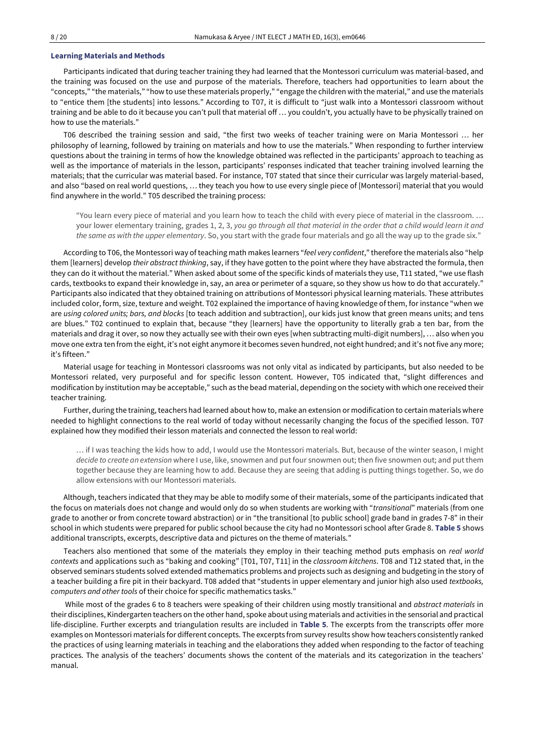#### **Learning Materials and Methods**

Participants indicated that during teacher training they had learned that the Montessori curriculum was material-based, and the training was focused on the use and purpose of the materials. Therefore, teachers had opportunities to learn about the "concepts," "the materials," "how to use these materials properly," "engage the children with the material," and use the materials to "entice them [the students] into lessons." According to T07, it is difficult to "just walk into a Montessori classroom without training and be able to do it because you can't pull that material off … you couldn't, you actually have to be physically trained on how to use the materials."

T06 described the training session and said, "the first two weeks of teacher training were on Maria Montessori … her philosophy of learning, followed by training on materials and how to use the materials." When responding to further interview questions about the training in terms of how the knowledge obtained was reflected in the participants' approach to teaching as well as the importance of materials in the lesson, participants' responses indicated that teacher training involved learning the materials; that the curricular was material based. For instance, T07 stated that since their curricular was largely material-based, and also "based on real world questions, … they teach you how to use every single piece of [Montessori] material that you would find anywhere in the world." T05 described the training process:

"You learn every piece of material and you learn how to teach the child with every piece of material in the classroom. … your lower elementary training, grades 1, 2, 3, *you go through all that material in the order that a child would learn it and the same as with the upper elementary*. So, you start with the grade four materials and go all the way up to the grade six."

According to T06, the Montessori way of teaching math makes learners "*feel very confident*," therefore the materials also "help them [learners] develop *their abstract thinking*, say, if they have gotten to the point where they have abstracted the formula, then they can do it without the material." When asked about some of the specific kinds of materials they use, T11 stated, "we use flash cards, textbooks to expand their knowledge in, say, an area or perimeter of a square, so they show us how to do that accurately." Participants also indicated that they obtained training on attributions of Montessori physical learning materials. These attributes included color, form, size, texture and weight. T02 explained the importance of having knowledge of them, for instance "when we are *using colored units; bars, and blocks* [to teach addition and subtraction], our kids just know that green means units; and tens are blues." T02 continued to explain that, because "they [learners] have the opportunity to literally grab a ten bar, from the materials and drag it over, so now they actually see with their own eyes [when subtracting multi-digit numbers], … also when you move one extra ten from the eight, it's not eight anymore it becomes seven hundred, not eight hundred; and it's not five any more; it's fifteen."

Material usage for teaching in Montessori classrooms was not only vital as indicated by participants, but also needed to be Montessori related, very purposeful and for specific lesson content. However, T05 indicated that, "slight differences and modification by institution may be acceptable," such as the bead material, depending on the society with which one received their teacher training.

Further, during the training, teachers had learned about how to, make an extension or modification to certain materials where needed to highlight connections to the real world of today without necessarily changing the focus of the specified lesson. T07 explained how they modified their lesson materials and connected the lesson to real world:

… if I was teaching the kids how to add, I would use the Montessori materials. But, because of the winter season, I might *decide to create an extension* where I use, like, snowmen and put four snowmen out; then five snowmen out; and put them together because they are learning how to add. Because they are seeing that adding is putting things together. So, we do allow extensions with our Montessori materials.

Although, teachers indicated that they may be able to modify some of their materials, some of the participants indicated that the focus on materials does not change and would only do so when students are working with "*transitional*" materials (from one grade to another or from concrete toward abstraction) or in "the transitional [to public school] grade band in grades 7-8" in their school in which students were prepared for public school because the city had no Montessori school after Grade 8. **Table 5** shows additional transcripts, excerpts, descriptive data and pictures on the theme of materials."

Teachers also mentioned that some of the materials they employ in their teaching method puts emphasis on *real world contexts* and applications such as "baking and cooking" [T01, T07, T11] in the *classroom kitchens*. T08 and T12 stated that, in the observed seminars students solved extended mathematics problems and projects such as designing and budgeting in the story of a teacher building a fire pit in their backyard. T08 added that "students in upper elementary and junior high also used *textbooks, computers and other tools* of their choice for specific mathematics tasks."

While most of the grades 6 to 8 teachers were speaking of their children using mostly transitional and *abstract materials* in their disciplines, Kindergarten teachers on the other hand, spoke about using materials and activities in the sensorial and practical life-discipline. Further excerpts and triangulation results are included in **Table 5**. The excerpts from the transcripts offer more examples on Montessori materials for different concepts. The excerpts from survey results show how teachers consistently ranked the practices of using learning materials in teaching and the elaborations they added when responding to the factor of teaching practices. The analysis of the teachers' documents shows the content of the materials and its categorization in the teachers' manual.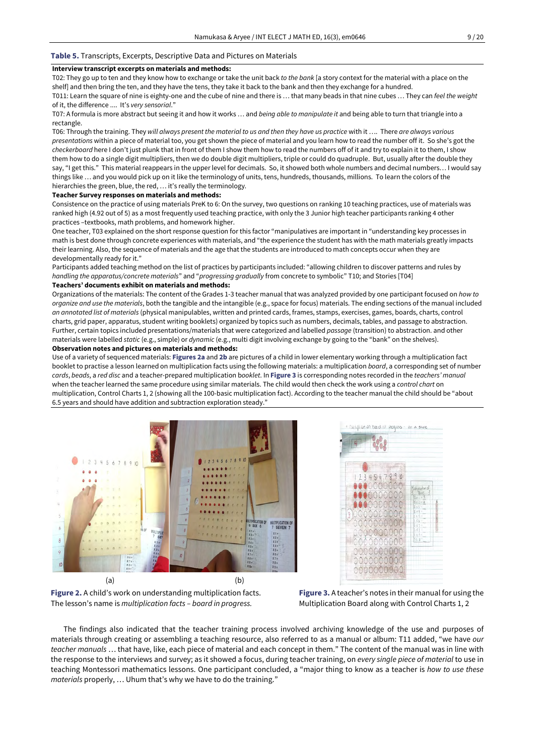#### **Table 5.** Transcripts, Excerpts, Descriptive Data and Pictures on Materials

### **Interview transcript excerpts on materials and methods:**

T02: They go up to ten and they know how to exchange or take the unit back *to the bank* [a story context for the material with a place on the shelf] and then bring the ten, and they have the tens, they take it back to the bank and then they exchange for a hundred.

T011: Learn the square of nine is eighty-one and the cube of nine and there is … that many beads in that nine cubes … They can *feel the weight* of it, the difference .... It's *very sensorial*."

T07: A formula is more abstract but seeing it and how it works … and *being able to manipulate it* and being able to turn that triangle into a rectangle.

T06: Through the training. They *will always present the material to us and then they have us practice* with it …. There *are always various presentations* within a piece of material too, you get shown the piece of material and you learn how to read the number off it. So she's got the *checkerboard* here I don't just plunk that in front of them I show them how to read the numbers off of it and try to explain it to them, I show them how to do a single digit multipliers, then we do double digit multipliers, triple or could do quadruple. But, usually after the double they say, "I get this." This material reappears in the upper level for decimals. So, it showed both whole numbers and decimal numbers… I would say things like … and you would pick up on it like the terminology of units, tens, hundreds, thousands, millions. To learn the colors of the hierarchies the green, blue, the red, ... it's really the terminology.

#### **Teacher Survey responses on materials and methods:**

Consistence on the practice of using materials PreK to 6: On the survey, two questions on ranking 10 teaching practices, use of materials was ranked high (4.92 out of 5) as a most frequently used teaching practice, with only the 3 Junior high teacher participants ranking 4 other practices –textbooks, math problems, and homework higher.

One teacher, T03 explained on the short response question for this factor "manipulatives are important in "understanding key processes in math is best done through concrete experiences with materials, and "the experience the student has with the math materials greatly impacts their learning. Also, the sequence of materials and the age that the students are introduced to math concepts occur when they are developmentally ready for it."

Participants added teaching method on the list of practices by participants included: "allowing children to discover patterns and rules by *handling the apparatus/concrete materials*" and "*progressing gradually* from concrete to symbolic" T10; and Stories [T04] **Teachers' documents exhibit on materials and methods:**

Organizations of the materials: The content of the Grades 1-3 teacher manual that was analyzed provided by one participant focused on *how to organize and use the materials*, both the tangible and the intangible (e.g., space for focus) materials. The ending sections of the manual included *an annotated list of materials* (physical manipulables, written and printed cards, frames, stamps, exercises, games, boards, charts, control charts, grid paper, apparatus, student writing booklets) organized by topics such as numbers, decimals, tables, and passage to abstraction. Further, certain topics included presentations/materials that were categorized and labelled *passage* (transition) to abstraction. and other materials were labelled *static* (e.g., simple) or *dynamic* (e.g., multi digit involving exchange by going to the "bank" on the shelves).

### **Observation notes and pictures on materials and methods:**

Use of a variety of sequenced materials: **Figures 2a** and **2b** are pictures of a child in lower elementary working through a multiplication fact booklet to practise a lesson learned on multiplication facts using the following materials: a multiplication *board*, a corresponding set of number *cards*, *beads*, a *red disc* and a teacher-prepared multiplication b*ooklet*. In **Figure 3** is corresponding notes recorded in the *teachers' manual* when the teacher learned the same procedure using similar materials. The child would then check the work using a *control chart* on multiplication, Control Charts 1, 2 (showing all the 100-basic multiplication fact). According to the teacher manual the child should be "about 6.5 years and should have addition and subtraction exploration steady."





**Figure 2.** A child's work on understanding multiplication facts. The lesson's name is *multiplication facts – board in progress.*

**Figure 3.** A teacher's notes in their manual for using the Multiplication Board along with Control Charts 1, 2

The findings also indicated that the teacher training process involved archiving knowledge of the use and purposes of materials through creating or assembling a teaching resource, also referred to as a manual or album: T11 added, "we have *our teacher manuals* … that have, like, each piece of material and each concept in them." The content of the manual was in line with the response to the interviews and survey; as it showed a focus, during teacher training, on *every single piece of material* to use in teaching Montessori mathematics lessons. One participant concluded, a "major thing to know as a teacher is *how to use these materials* properly, … Uhum that's why we have to do the training."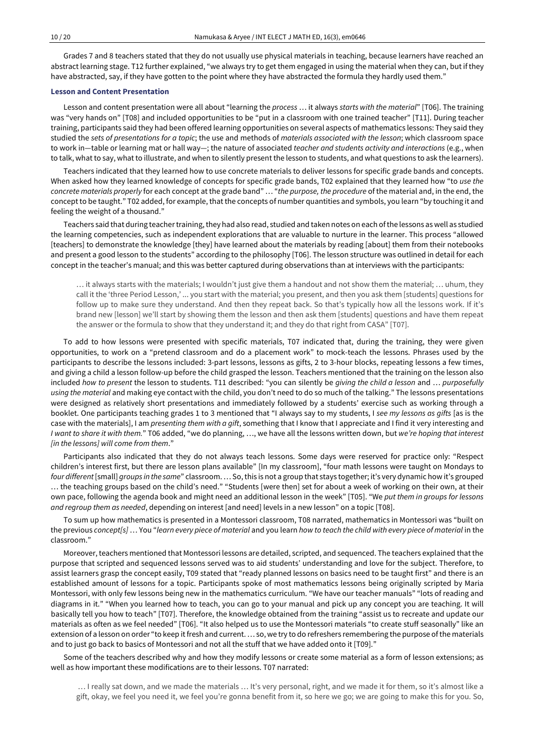Grades 7 and 8 teachers stated that they do not usually use physical materials in teaching, because learners have reached an abstract learning stage. T12 further explained, "we always try to get them engaged in using the material when they can, but if they have abstracted, say, if they have gotten to the point where they have abstracted the formula they hardly used them."

### **Lesson and Content Presentation**

Lesson and content presentation were all about "learning the *process* … it always *starts with the material*" [T06]. The training was "very hands on" [T08] and included opportunities to be "put in a classroom with one trained teacher" [T11]. During teacher training, participants said they had been offered learning opportunities on several aspects of mathematics lessons: They said they studied the *sets of presentations for a topic*; the use and methods of *materials associated with the lesson*; which classroom space to work in—table or learning mat or hall way—; the nature of associated *teacher and students activity and interactions* (e.g., when to talk, what to say, what to illustrate, and when to silently present the lesson to students, and what questions to ask the learners).

Teachers indicated that they learned how to use concrete materials to deliver lessons for specific grade bands and concepts. When asked how they learned knowledge of concepts for specific grade bands, T02 explained that they learned how "to *use the concrete materials properly* for each concept at the grade band" … "*the purpose, the procedure* of the material and, in the end, the concept to be taught." T02 added, for example, that the concepts of number quantities and symbols, you learn "by touching it and feeling the weight of a thousand."

Teachers said that during teachertraining, they had also read, studied and taken notes on each ofthe lessons as well as studied the learning competencies, such as independent explorations that are valuable to nurture in the learner. This process "allowed [teachers] to demonstrate the knowledge [they] have learned about the materials by reading [about] them from their notebooks and present a good lesson to the students" according to the philosophy [T06]. The lesson structure was outlined in detail for each concept in the teacher's manual; and this was better captured during observations than at interviews with the participants:

… it always starts with the materials; I wouldn't just give them a handout and not show them the material; … uhum, they call it the 'three Period Lesson,' ... you start with the material; you present, and then you ask them [students] questions for follow up to make sure they understand. And then they repeat back. So that's typically how all the lessons work. If it's brand new [lesson] we'll start by showing them the lesson and then ask them [students] questions and have them repeat the answer or the formula to show that they understand it; and they do that right from CASA" [T07].

To add to how lessons were presented with specific materials, T07 indicated that, during the training, they were given opportunities, to work on a "pretend classroom and do a placement work" to mock-teach the lessons. Phrases used by the participants to describe the lessons included: 3-part lessons, lessons as gifts, 2 to 3-hour blocks, repeating lessons a few times, and giving a child a lesson follow-up before the child grasped the lesson. Teachers mentioned that the training on the lesson also included *how to present* the lesson to students. T11 described: "you can silently be *giving the child a lesson* and … *purposefully using the material* and making eye contact with the child, you don't need to do so much of the talking." The lessons presentations were designed as relatively short presentations and immediately followed by a students' exercise such as working through a booklet. One participants teaching grades 1 to 3 mentioned that "I always say to my students, I *see my lessons as gifts* [as is the case with the materials], I am *presenting them with a gift*, something that I know that I appreciate and I find it very interesting and *I want to share it with them.*" T06 added, "we do planning, …, we have all the lessons written down, but *we're hoping that interest [in the lessons] will come from them*."

Participants also indicated that they do not always teach lessons. Some days were reserved for practice only: "Respect children's interest first, but there are lesson plans available" [In my classroom], "four math lessons were taught on Mondays to *four different*[small] *groups in the same*" classroom. … So,this is not a group that stays together; it's very dynamic how it's grouped … the teaching groups based on the child's need." "Students [were then] set for about a week of working on their own, at their own pace, following the agenda book and might need an additional lesson in the week" [T05]. "We *put them in groups for lessons and regroup them as needed*, depending on interest [and need] levels in a new lesson" on a topic [T08].

To sum up how mathematics is presented in a Montessori classroom, T08 narrated, mathematics in Montessori was "built on the previous concept[s] ... You "learn every piece of material and you learn how to teach the child with every piece of material in the classroom."

Moreover, teachers mentioned that Montessori lessons are detailed, scripted, and sequenced. The teachers explained thatthe purpose that scripted and sequenced lessons served was to aid students' understanding and love for the subject. Therefore, to assist learners grasp the concept easily, T09 stated that "ready planned lessons on basics need to be taught first" and there is an established amount of lessons for a topic. Participants spoke of most mathematics lessons being originally scripted by Maria Montessori, with only few lessons being new in the mathematics curriculum. "We have our teacher manuals" "lots of reading and diagrams in it." "When you learned how to teach, you can go to your manual and pick up any concept you are teaching. It will basically tell you how to teach" [T07]. Therefore, the knowledge obtained from the training "assist us to recreate and update our materials as often as we feel needed" [T06]. "It also helped us to use the Montessori materials "to create stuff seasonally" like an extension of a lesson on order "to keep it fresh and current. ... so, we try to do refreshers remembering the purpose of the materials and to just go back to basics of Montessori and not all the stuff that we have added onto it [T09]."

Some of the teachers described why and how they modify lessons or create some material as a form of lesson extensions; as well as how important these modifications are to their lessons. T07 narrated:

 … I really sat down, and we made the materials … It's very personal, right, and we made it for them, so it's almost like a gift, okay, we feel you need it, we feel you're gonna benefit from it, so here we go; we are going to make this for you. So,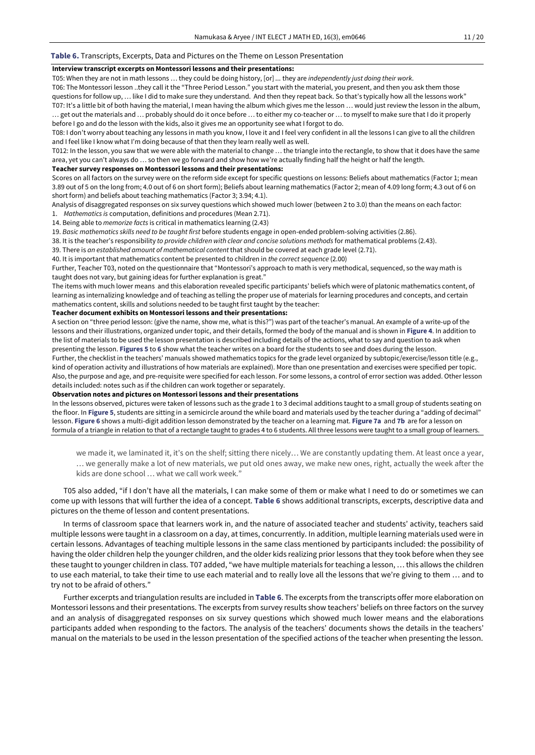#### **Table 6.** Transcripts, Excerpts, Data and Pictures on the Theme on Lesson Presentation

### **Interview transcript excerpts on Montessori lessons and their presentations:**

T05: When they are not in math lessons … they could be doing history, [or] *…* they are *independently just doing their work*.

T06: The Montessori lesson ..they call it the "Three Period Lesson." you start with the material, you present, and then you ask them those questions for follow up, … like I did to make sure they understand. And then they repeat back. So that's typically how all the lessons work" T07: It's a little bit of both having the material, I mean having the album which gives me the lesson … would just review the lesson in the album, … get out the materials and … probably should do it once before … to either my co-teacher or … to myself to make sure that I do it properly

before I go and do the lesson with the kids, also it gives me an opportunity see what I forgot to do.

T08: I don't worry about teaching any lessons in math you know, I love it and I feel very confident in all the lessons I can give to all the children and I feel like I know what I'm doing because of that then they learn really well as well.

T012: In the lesson, you saw that we were able with the material to change … the triangle into the rectangle, to show that it does have the same area, yet you can't always do … so then we go forward and show how we're actually finding half the height or half the length.

#### **Teacher survey responses on Montessori lessons and their presentations:**

Scores on all factors on the survey were on the reform side except for specific questions on lessons: Beliefs about mathematics (Factor 1; mean 3.89 out of 5 on the long from; 4.0 out of 6 on short form); Beliefs about learning mathematics (Factor 2; mean of 4.09 long form; 4.3 out of 6 on short form) and beliefs about teaching mathematics (Factor 3; 3.94; 4.1).

Analysis of disaggregated responses on six survey questions which showed much lower (between 2 to 3.0) than the means on each factor:

1. *Mathematics is* computation, definitions and procedures (Mean 2.71).

14. Being able to *memorize facts* is critical in mathematics learning (2.43)

19. *Basic mathematics skills need to be taught first* before students engage in open-ended problem-solving activities (2.86).

38. It is the teacher's responsibility *to provide children with clear and concise solutions methods* for mathematical problems (2.43).

39. There is *an established amount of mathematical content* that should be covered at each grade level (2.71).

40. It is important that mathematics content be presented to children in *the correct sequence* (2.00)

Further, Teacher T03, noted on the questionnaire that "Montessori's approach to math is very methodical, sequenced, so the way math is taught does not vary, but gaining ideas for further explanation is great."

The items with much lower means and this elaboration revealed specific participants' beliefs which were of platonic mathematics content, of learning as internalizing knowledge and of teaching as telling the proper use of materials for learning procedures and concepts, and certain mathematics content, skills and solutions needed to be taught first taught by the teacher:

#### **Teacher document exhibits on Montessori lessons and their presentations:**

A section on "three period lesson: (give the name, show me, what is this?") was part of the teacher's manual. An example of a write-up of the lessons and their illustrations, organized under topic, and their details, formed the body of the manual and is shown in **Figure 4**. In addition to the list of materials to be used the lesson presentation is described including details of the actions, what to say and question to ask when presenting the lesson. **Figures 5** to **6** show what the teacher writes on a board for the students to see and does during the lesson.

Further, the checklist in the teachers' manuals showed mathematics topics for the grade level organized by subtopic/exercise/lesson title (e.g., kind of operation activity and illustrations of how materials are explained). More than one presentation and exercises were specified per topic. Also, the purpose and age, and pre-requisite were specified for each lesson. For some lessons, a control of error section was added. Other lesson details included: notes such as if the children can work together or separately.

#### **Observation notes and pictures on Montessori lessons and their presentations**

In the lessons observed, pictures were taken of lessons such as the grade 1 to 3 decimal additions taught to a small group of students seating on the floor. In **Figure 5**, students are sitting in a semicircle around the while board and materials used by the teacher during a "adding of decimal" lesson. **Figure 6** shows a multi-digit addition lesson demonstrated by the teacher on a learning mat. **Figure 7a** and **7b** are for a lesson on formula of a triangle in relation to that of a rectangle taught to grades 4 to 6 students. All three lessons were taught to a small group of learners.

we made it, we laminated it, it's on the shelf; sitting there nicely… We are constantly updating them. At least once a year, … we generally make a lot of new materials, we put old ones away, we make new ones, right, actually the week after the kids are done school … what we call work week."

T05 also added, "if I don't have all the materials, I can make some of them or make what I need to do or sometimes we can come up with lessons that will further the idea of a concept. **Table 6** shows additional transcripts, excerpts, descriptive data and pictures on the theme of lesson and content presentations.

In terms of classroom space that learners work in, and the nature of associated teacher and students' activity, teachers said multiple lessons were taught in a classroom on a day, at times, concurrently. In addition, multiple learning materials used were in certain lessons. Advantages of teaching multiple lessons in the same class mentioned by participants included: the possibility of having the older children help the younger children, and the older kids realizing prior lessons that they took before when they see these taught to younger children in class. T07 added, "we have multiple materials for teaching a lesson, … this allows the children to use each material, to take their time to use each material and to really love all the lessons that we're giving to them … and to try not to be afraid of others."

Further excerpts and triangulation results are included in **Table 6**. The excerpts from the transcripts offer more elaboration on Montessori lessons and their presentations. The excerpts from survey results show teachers' beliefs on three factors on the survey and an analysis of disaggregated responses on six survey questions which showed much lower means and the elaborations participants added when responding to the factors. The analysis of the teachers' documents shows the details in the teachers' manual on the materials to be used in the lesson presentation of the specified actions of the teacher when presenting the lesson.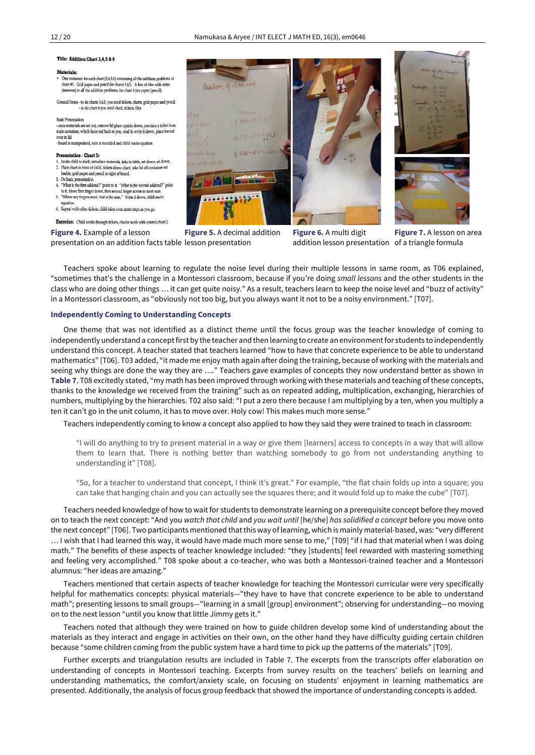#### Title: Addition Chart 3.4.5 & 6

#### **Materials:**

- One container for each chart (3,4,5,6) containing all the addition pro chart #1. Grid paper and pencil for charts 3,4,5. A box of tiles with sums ers) to all the addition problems, for chart 6 (no paper/pencil)
- General Notes to do charts 3,4,5, you need tickets, charts, grid paper and pencil - to do chart 6 you need chart, tickets, tiles

#### **Basic Presentation**

- once materials are set out, remove lid place upside down, you take a ticket from main container, which faces red back to you, read it, write it down, place turned  $over in$  lid - board is manipulated, sum is recorded and child reads equation

#### Presentation - Chart 3:

- Invite child to shelf, introduce materials, take to table, set down, sit down. 2. Place chart in front of child, tickets above chart, take lid off container set
- eside, grid paper and pencil to right of board . Do basic presentation
- 4. "What is the first addend?" point to it. "What is the second addend?" point
- to it. Move first finger down, then second finger across to n 5. "Where my fingers meet, that is the sum." Write it down, child reads
- 6. Repeat with other tickets, child takes over more steps as you go
- 

Exercise: Child works through tickets, checks work with control chart 1

**Figure 4.** Example of a lesson presentation on an addition facts table lesson presentation **Figure 5.** A decimal addition **Figure 6.** A multi digit addition lesson presentation of a triangle formula

**Figure 7.** A lesson on area

Teachers spoke about learning to regulate the noise level during their multiple lessons in same room, as T06 explained, "sometimes that's the challenge in a Montessori classroom, because if you're doing *small lessons* and the other students in the class who are doing other things … it can get quite noisy." As a result, teachers learn to keep the noise level and "buzz of activity" in a Montessori classroom, as "obviously not too big, but you always want it not to be a noisy environment." [T07].

#### **Independently Coming to Understanding Concepts**

One theme that was not identified as a distinct theme until the focus group was the teacher knowledge of coming to independently understand a conceptfirst by the teacher and then learning to create an environment for students to independently understand this concept. A teacher stated that teachers learned "how to have that concrete experience to be able to understand mathematics" [T06]. T03 added, "it made me enjoy math again after doing the training, because of working with the materials and seeing why things are done the way they are …." Teachers gave examples of concepts they now understand better as shown in **Table 7**. T08 excitedly stated, "my math has been improved through working with these materials and teaching of these concepts, thanks to the knowledge we received from the training" such as on repeated adding, multiplication, exchanging, hierarchies of numbers, multiplying by the hierarchies. T02 also said: "I put a zero there because I am multiplying by a ten, when you multiply a ten it can't go in the unit column, it has to move over. Holy cow! This makes much more sense."

Teachers independently coming to know a concept also applied to how they said they were trained to teach in classroom:

"I will do anything to try to present material in a way or give them [learners] access to concepts in a way that will allow them to learn that. There is nothing better than watching somebody to go from not understanding anything to understanding it" [T08].

"So, for a teacher to understand that concept, I think it's great." For example, "the flat chain folds up into a square; you can take that hanging chain and you can actually see the squares there; and it would fold up to make the cube" [T07].

Teachers needed knowledge of how to wait for students to demonstrate learning on a prerequisite concept before they moved on to teach the next concept: "And you *watch that child* and *you wait until* [he/she] *has solidified a concept* before you move onto the next concept" [T06]. Two participants mentioned thatthis way of learning, which is mainly material-based, was: "very different … I wish that I had learned this way, it would have made much more sense to me," [T09] "if I had that material when I was doing math." The benefits of these aspects of teacher knowledge included: "they [students] feel rewarded with mastering something and feeling very accomplished." T08 spoke about a co-teacher, who was both a Montessori-trained teacher and a Montessori alumnus: "her ideas are amazing."

Teachers mentioned that certain aspects of teacher knowledge for teaching the Montessori curricular were very specifically helpful for mathematics concepts: physical materials—"they have to have that concrete experience to be able to understand math"; presenting lessons to small groups—"learning in a small [group] environment"; observing for understanding—no moving on to the next lesson "until you know that little Jimmy gets it."

Teachers noted that although they were trained on how to guide children develop some kind of understanding about the materials as they interact and engage in activities on their own, on the other hand they have difficulty guiding certain children because "some children coming from the public system have a hard time to pick up the patterns of the materials" [T09].

Further excerpts and triangulation results are included in Table 7. The excerpts from the transcripts offer elaboration on understanding of concepts in Montessori teaching. Excerpts from survey results on the teachers' beliefs on learning and understanding mathematics, the comfort/anxiety scale, on focusing on students' enjoyment in learning mathematics are presented. Additionally, the analysis of focus group feedback that showed the importance of understanding concepts is added.

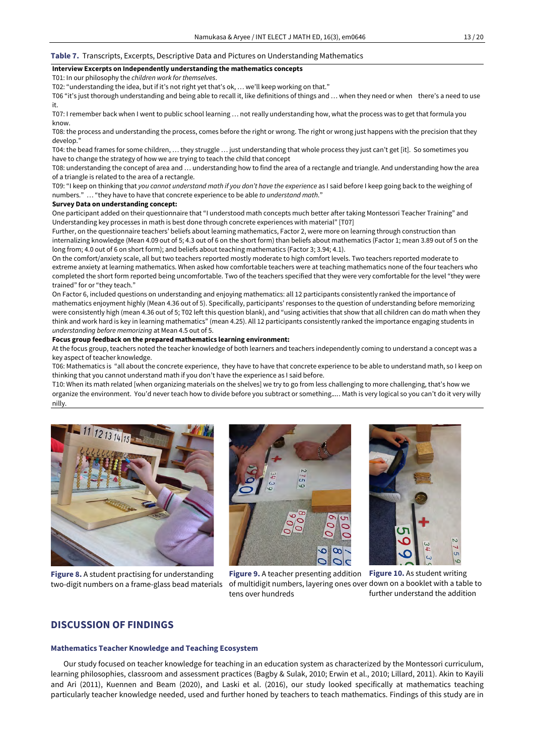#### **Table 7.** Transcripts, Excerpts, Descriptive Data and Pictures on Understanding Mathematics

### **Interview Excerpts on Independently understanding the mathematics concepts**

T01: In our philosophy the *children work for themselves*.

T02: "understanding the idea, but if it's not right yet that's ok, … we'll keep working on that."

T06 "it's just thorough understanding and being able to recall it, like definitions of things and … when they need or when there's a need to use it.

T07: I remember back when I went to public school learning … not really understanding how, what the process was to get that formula you know.

T08: the process and understanding the process, comes before the right or wrong. The right or wrong just happens with the precision that they develop."

T04: the bead frames for some children, … they struggle … just understanding that whole process they just can't get [it]. So sometimes you have to change the strategy of how we are trying to teach the child that concept

T08: understanding the concept of area and … understanding how to find the area of a rectangle and triangle. And understanding how the area of a triangle is related to the area of a rectangle.

T09: "I keep on thinking that *you cannot understand math if you don't have the experience* as I said before I keep going back to the weighing of numbers." … "they have to have that concrete experience to be able *to understand math*."

### **Survey Data on understanding concept:**

One participant added on their questionnaire that "I understood math concepts much better after taking Montessori Teacher Training" and Understanding key processes in math is best done through concrete experiences with material" [T07]

Further, on the questionnaire teachers' beliefs about learning mathematics, Factor 2, were more on learning through construction than internalizing knowledge (Mean 4.09 out of 5; 4.3 out of 6 on the short form) than beliefs about mathematics (Factor 1; mean 3.89 out of 5 on the long from; 4.0 out of 6 on short form); and beliefs about teaching mathematics (Factor 3; 3.94; 4.1).

On the comfort/anxiety scale, all but two teachers reported mostly moderate to high comfort levels. Two teachers reported moderate to extreme anxiety at learning mathematics. When asked how comfortable teachers were at teaching mathematics none of the four teachers who completed the short form reported being uncomfortable. Two of the teachers specified that they were very comfortable for the level "they were trained" for or "they teach."

On Factor 6, included questions on understanding and enjoying mathematics: all 12 participants consistently ranked the importance of mathematics enjoyment highly (Mean 4.36 out of 5). Specifically, participants' responses to the question of understanding before memorizing were consistently high (mean 4.36 out of 5; T02 left this question blank), and "using activities that show that all children can do math when they think and work hard is key in learning mathematics" (mean 4.25). All 12 participants consistently ranked the importance engaging students in *understanding before memorizing* at Mean 4.5 out of 5.

#### **Focus group feedback on the prepared mathematics learning environment:**

At the focus group, teachers noted the teacher knowledge of both learners and teachers independently coming to understand a concept was a key aspect of teacher knowledge.

T06: Mathematics is "all about the concrete experience, they have to have that concrete experience to be able to understand math, so I keep on thinking that you cannot understand math if you don't have the experience as I said before.

T10: When its math related [when organizing materials on the shelves] we try to go from less challenging to more challenging, that's how we organize the environment. You'd never teach how to divide before you subtract or something.*…*. Math is very logical so you can't do it very willy nilly.



**Figure 8.** A student practising for understanding two-digit numbers on a frame-glass bead materials





**Figure 9.** A teacher presenting addition **Figure 10.** As student writing of multidigit numbers, layering ones over down on a booklet with a table to tens over hundreds

further understand the addition

## **DISCUSSION OF FINDINGS**

#### **Mathematics Teacher Knowledge and Teaching Ecosystem**

Our study focused on teacher knowledge for teaching in an education system as characterized by the Montessori curriculum, learning philosophies, classroom and assessment practices (Bagby & Sulak, 2010; Erwin et al., 2010; Lillard, 2011). Akin to Kayili and Ari (2011), Kuennen and Beam (2020), and Laski et al. (2016), our study looked specifically at mathematics teaching particularly teacher knowledge needed, used and further honed by teachers to teach mathematics. Findings of this study are in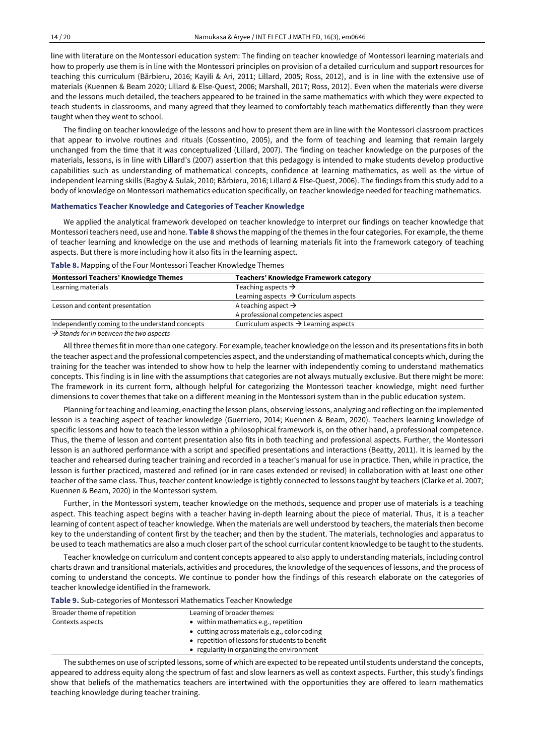line with literature on the Montessori education system: The finding on teacher knowledge of Montessori learning materials and how to properly use them is in line with the Montessori principles on provision of a detailed curriculum and support resources for teaching this curriculum (Bărbieru, 2016; Kayili & Ari, 2011; Lillard, 2005; Ross, 2012), and is in line with the extensive use of materials (Kuennen & Beam 2020; Lillard & Else-Quest, 2006; Marshall, 2017; Ross, 2012). Even when the materials were diverse and the lessons much detailed, the teachers appeared to be trained in the same mathematics with which they were expected to teach students in classrooms, and many agreed that they learned to comfortably teach mathematics differently than they were taught when they went to school.

The finding on teacher knowledge of the lessons and how to present them are in line with the Montessori classroom practices that appear to involve routines and rituals (Cossentino, 2005), and the form of teaching and learning that remain largely unchanged from the time that it was conceptualized (Lillard, 2007). The finding on teacher knowledge on the purposes of the materials, lessons, is in line with Lillard's (2007) assertion that this pedagogy is intended to make students develop productive capabilities such as understanding of mathematical concepts, confidence at learning mathematics, as well as the virtue of independent learning skills (Bagby & Sulak, 2010; Bărbieru, 2016; Lillard & Else-Quest, 2006). The findings from this study add to a body of knowledge on Montessori mathematics education specifically, on teacher knowledge needed for teaching mathematics.

#### **Mathematics Teacher Knowledge and Categories of Teacher Knowledge**

We applied the analytical framework developed on teacher knowledge to interpret our findings on teacher knowledge that Montessoriteachers need, use and hone. **Table 8** shows the mapping of the themes in the four categories. For example, the theme of teacher learning and knowledge on the use and methods of learning materials fit into the framework category of teaching aspects. But there is more including how it also fits in the learning aspect.

| <b>Montessori Teachers' Knowledge Themes</b>                                                                                                                                                                                                                                                     | Teachers' Knowledge Framework category            |  |
|--------------------------------------------------------------------------------------------------------------------------------------------------------------------------------------------------------------------------------------------------------------------------------------------------|---------------------------------------------------|--|
| Learning materials                                                                                                                                                                                                                                                                               | Teaching aspects $\rightarrow$                    |  |
|                                                                                                                                                                                                                                                                                                  | Learning aspects $\rightarrow$ Curriculum aspects |  |
| Lesson and content presentation                                                                                                                                                                                                                                                                  | A teaching aspect $\rightarrow$                   |  |
|                                                                                                                                                                                                                                                                                                  | A professional competencies aspect                |  |
| Independently coming to the understand concepts                                                                                                                                                                                                                                                  | Curriculum aspects $\rightarrow$ Learning aspects |  |
| $\mathbf{v}$ and $\mathbf{v}$ and $\mathbf{v}$ and $\mathbf{v}$ and $\mathbf{v}$ and $\mathbf{v}$ and $\mathbf{v}$ and $\mathbf{v}$ and $\mathbf{v}$ and $\mathbf{v}$ and $\mathbf{v}$ and $\mathbf{v}$ and $\mathbf{v}$ and $\mathbf{v}$ and $\mathbf{v}$ and $\mathbf{v}$ and $\mathbf{v}$ and |                                                   |  |

**Table 8.** Mapping of the Four Montessori Teacher Knowledge Themes

*Stands for in between the two aspects*

All three themes fitin more than one category. For example, teacher knowledge on the lesson and its presentations fits in both the teacher aspect and the professional competencies aspect, and the understanding of mathematical concepts which, during the training for the teacher was intended to show how to help the learner with independently coming to understand mathematics concepts. This finding is in line with the assumptions that categories are not always mutually exclusive. But there might be more: The framework in its current form, although helpful for categorizing the Montessori teacher knowledge, might need further dimensions to cover themes that take on a different meaning in the Montessori system than in the public education system.

Planning forteaching and learning, enacting the lesson plans, observing lessons, analyzing and reflecting on the implemented lesson is a teaching aspect of teacher knowledge (Guerriero, 2014; Kuennen & Beam, 2020). Teachers learning knowledge of specific lessons and how to teach the lesson within a philosophical framework is, on the other hand, a professional competence. Thus, the theme of lesson and content presentation also fits in both teaching and professional aspects. Further, the Montessori lesson is an authored performance with a script and specified presentations and interactions (Beatty, 2011). It is learned by the teacher and rehearsed during teacher training and recorded in a teacher's manual for use in practice. Then, while in practice, the lesson is further practiced, mastered and refined (or in rare cases extended or revised) in collaboration with at least one other teacher of the same class. Thus, teacher content knowledge is tightly connected to lessons taught by teachers (Clarke et al. 2007; Kuennen & Beam, 2020) in the Montessori system*.* 

Further, in the Montessori system, teacher knowledge on the methods, sequence and proper use of materials is a teaching aspect. This teaching aspect begins with a teacher having in-depth learning about the piece of material. Thus, it is a teacher learning of content aspect of teacher knowledge. When the materials are well understood by teachers, the materials then become key to the understanding of content first by the teacher; and then by the student. The materials, technologies and apparatus to be used to teach mathematics are also a much closer part of the school curricular content knowledge to be taught to the students.

Teacher knowledge on curriculum and content concepts appeared to also apply to understanding materials, including control charts drawn and transitional materials, activities and procedures, the knowledge of the sequences of lessons, and the process of coming to understand the concepts. We continue to ponder how the findings of this research elaborate on the categories of teacher knowledge identified in the framework.

**Table 9.** Sub-categories of Montessori Mathematics Teacher Knowledge

| Broader theme of repetition | Learning of broader themes:                     |
|-----------------------------|-------------------------------------------------|
| Contexts aspects            | • within mathematics e.g., repetition           |
|                             | • cutting across materials e.g., color coding   |
|                             | • repetition of lessons for students to benefit |
|                             | • regularity in organizing the environment      |

The subthemes on use of scripted lessons, some of which are expected to be repeated until students understand the concepts, appeared to address equity along the spectrum of fast and slow learners as well as context aspects. Further, this study's findings show that beliefs of the mathematics teachers are intertwined with the opportunities they are offered to learn mathematics teaching knowledge during teacher training.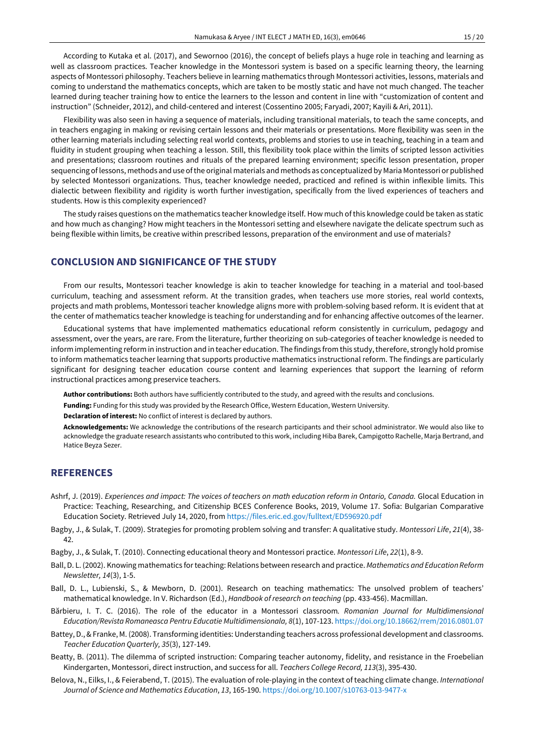According to Kutaka et al. (2017), and Sewornoo (2016), the concept of beliefs plays a huge role in teaching and learning as well as classroom practices. Teacher knowledge in the Montessori system is based on a specific learning theory, the learning aspects of Montessori philosophy. Teachers believe in learning mathematics through Montessori activities, lessons, materials and coming to understand the mathematics concepts, which are taken to be mostly static and have not much changed. The teacher learned during teacher training how to entice the learners to the lesson and content in line with "customization of content and instruction" (Schneider, 2012), and child-centered and interest (Cossentino 2005; Faryadi, 2007; Kayili & Ari, 2011).

Flexibility was also seen in having a sequence of materials, including transitional materials, to teach the same concepts, and in teachers engaging in making or revising certain lessons and their materials or presentations. More flexibility was seen in the other learning materials including selecting real world contexts, problems and stories to use in teaching, teaching in a team and fluidity in student grouping when teaching a lesson. Still, this flexibility took place within the limits of scripted lesson activities and presentations; classroom routines and rituals of the prepared learning environment; specific lesson presentation, proper sequencing of lessons, methods and use ofthe original materials and methods as conceptualized by Maria Montessori or published by selected Montessori organizations. Thus, teacher knowledge needed, practiced and refined is within inflexible limits. This dialectic between flexibility and rigidity is worth further investigation, specifically from the lived experiences of teachers and students. How is this complexity experienced?

The study raises questions on the mathematics teacher knowledge itself. How much of this knowledge could be taken as static and how much as changing? How might teachers in the Montessori setting and elsewhere navigate the delicate spectrum such as being flexible within limits, be creative within prescribed lessons, preparation of the environment and use of materials?

## **CONCLUSION AND SIGNIFICANCE OF THE STUDY**

From our results, Montessori teacher knowledge is akin to teacher knowledge for teaching in a material and tool-based curriculum, teaching and assessment reform. At the transition grades, when teachers use more stories, real world contexts, projects and math problems, Montessori teacher knowledge aligns more with problem-solving based reform. It is evident that at the center of mathematics teacher knowledge is teaching for understanding and for enhancing affective outcomes of the learner.

Educational systems that have implemented mathematics educational reform consistently in curriculum, pedagogy and assessment, over the years, are rare. From the literature, further theorizing on sub-categories of teacher knowledge is needed to inform implementing reform in instruction and in teacher education. The findings from this study, therefore, strongly hold promise to inform mathematics teacher learning that supports productive mathematics instructional reform. The findings are particularly significant for designing teacher education course content and learning experiences that support the learning of reform instructional practices among preservice teachers.

**Author contributions:** Both authors have sufficiently contributed to the study, and agreed with the results and conclusions.

**Funding:** Funding for this study was provided by the Research Office, Western Education, Western University.

**Declaration of interest:** No conflict of interest is declared by authors.

**Acknowledgements:** We acknowledge the contributions of the research participants and their school administrator. We would also like to acknowledge the graduate research assistants who contributed to this work, including Hiba Barek, Campigotto Rachelle, Marja Bertrand, and Hatice Beyza Sezer.

## **REFERENCES**

- Ashrf, J. (2019). Experiences and impact: The voices of teachers on math education reform in Ontario, Canada. Glocal Education in Practice: Teaching, Researching, and Citizenship BCES Conference Books, 2019, Volume 17. Sofia: Bulgarian Comparative Education Society. Retrieved July 14, 2020, fro[m https://files.eric.ed.gov/fulltext/ED596920.pdf](https://files.eric.ed.gov/fulltext/ED596920.pdf)
- Bagby, J., & Sulak, T. (2009). Strategies for promoting problem solving and transfer: A qualitative study. *Montessori Life*, *21*(4), 38- 42.
- Bagby, J., & Sulak, T. (2010). Connecting educational theory and Montessori practice. *Montessori Life*, *22*(1), 8-9.
- Ball, D. L. (2002). Knowing mathematics forteaching: Relations between research and practice. *Mathematics and Education Reform Newsletter, 14*(3), 1-5.
- Ball, D. L., Lubienski, S., & Mewborn, D. (2001). Research on teaching mathematics: The unsolved problem of teachers' mathematical knowledge. In V. Richardson (Ed.), *Handbook of research on teaching* (pp. 433-456). Macmillan.
- Bărbieru, I. T. C. (2016). The role of the educator in a Montessori classroom*. Romanian Journal for Multidimensional Education/Revista Romaneasca Pentru Educatie Multidimensionala, 8*(1), 107-123. <https://doi.org/10.18662/rrem/2016.0801.07>
- Battey, D., & Franke, M. (2008). Transforming identities: Understanding teachers across professional development and classrooms. *Teacher Education Quarterly, 35*(3), 127-149.
- Beatty, B. (2011). The dilemma of scripted instruction: Comparing teacher autonomy, fidelity, and resistance in the Froebelian Kindergarten, Montessori, direct instruction, and success for all. *Teachers College Record, 113*(3), 395-430.
- Belova, N., Eilks, I., & Feierabend, T. (2015). The evaluation of role-playing in the context of teaching climate change. *International Journal of Science and Mathematics Education*, *13*, 165-190. <https://doi.org/10.1007/s10763-013-9477-x>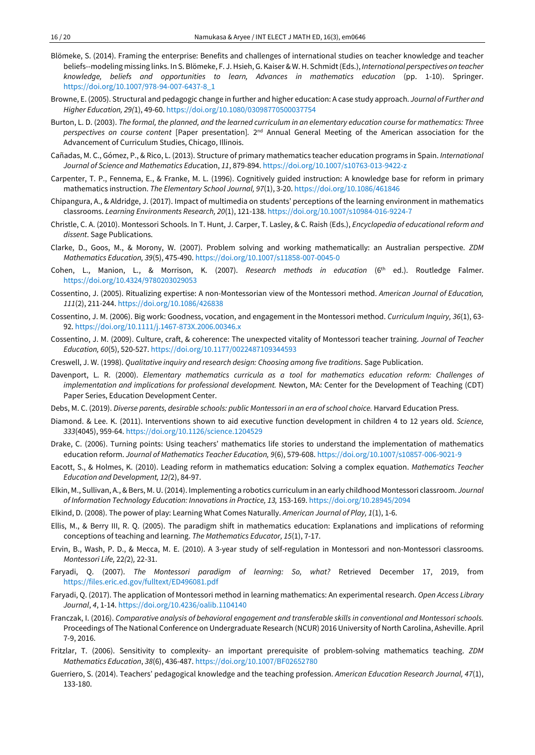- Blömeke, S. (2014). Framing the enterprise: Benefits and challenges of international studies on teacher knowledge and teacher beliefs--modeling missing links. In S. Blömeke, F. J. Hsieh,G. Kaiser & W.H. Schmidt(Eds.), *International perspectives on teacher knowledge, beliefs and opportunities to learn, Advances in mathematics education* (pp. 1-10). Springer. [https://doi.org/10.1007/978-94-007-6437-8\\_1](https://doi.org/10.1007/978-94-007-6437-8_1)
- Browne, E. (2005). Structural and pedagogic change in further and higher education: A case study approach. *Journal of Further and Higher Education, 29(*1), 49-60. <https://doi.org/10.1080/03098770500037754>
- Burton, L. D. (2003). The formal, the planned, and the learned curriculum in an elementary education course for mathematics: Three *perspectives on course content* [Paper presentation]*.* 2nd Annual General Meeting of the American association for the Advancement of Curriculum Studies, Chicago, Illinois.
- Cañadas, M. C., Gómez, P., & Rico, L. (2013). Structure of primary mathematics teacher education programs in Spain. *International Journal of Science and Mathematics Educ*ation, *11*, 879-894. <https://doi.org/10.1007/s10763-013-9422-z>
- Carpenter, T. P., Fennema, E., & Franke, M. L. (1996). Cognitively guided instruction: A knowledge base for reform in primary mathematics instruction. *The Elementary School Journal, 97*(1), 3-20. <https://doi.org/10.1086/461846>
- Chipangura, A., & Aldridge, J. (2017). Impact of multimedia on students' perceptions of the learning environment in mathematics classrooms. *Learning Environments Research, 20*(1), 121-138. <https://doi.org/10.1007/s10984-016-9224-7>
- Christle, C. A. (2010). Montessori Schools. In T. Hunt, J. Carper, T. Lasley, & C. Raish (Eds.), *Encyclopedia of educational reform and dissent*. Sage Publications.
- Clarke, D., Goos, M., & Morony, W. (2007). Problem solving and working mathematically: an Australian perspective. *ZDM Mathematics Education, 39*(5), 475-490. <https://doi.org/10.1007/s11858-007-0045-0>
- Cohen, L., Manion, L., & Morrison, K. (2007). *Research methods in education* (6th ed.). Routledge Falmer. <https://doi.org/10.4324/9780203029053>
- Cossentino, J. (2005). Ritualizing expertise: A non-Montessorian view of the Montessori method. *American Journal of Education, 111*(2), 211-244. <https://doi.org/10.1086/426838>
- Cossentino, J. M. (2006). Big work: Goodness, vocation, and engagement in the Montessori method. *Curriculum Inquiry, 36*(1), 63- 92. <https://doi.org/10.1111/j.1467-873X.2006.00346.x>
- Cossentino, J. M. (2009). Culture, craft, & coherence: The unexpected vitality of Montessori teacher training. *Journal of Teacher Education, 60*(5), 520-527. <https://doi.org/10.1177/0022487109344593>
- Creswell, J. W. (1998). *Qualitative inquiry and research design: Choosing among five traditions*. Sage Publication.
- Davenport, L. R. (2000). *Elementary mathematics curricula as a tool for mathematics education reform: Challenges of implementation and implications for professional development.* Newton, MA: Center for the Development of Teaching (CDT) Paper Series, Education Development Center.
- Debs, M. C. (2019). *Diverse parents, desirable schools: public Montessori in an era of school choice.* Harvard Education Press.
- Diamond. & Lee. K. (2011). Interventions shown to aid executive function development in children 4 to 12 years old. *Science, 333*(4045), 959-64. <https://doi.org/10.1126/science.1204529>
- Drake, C. (2006). Turning points: Using teachers' mathematics life stories to understand the implementation of mathematics education reform. *Journal of Mathematics Teacher Education, 9*(6), 579-608. <https://doi.org/10.1007/s10857-006-9021-9>
- Eacott, S., & Holmes, K. (2010). Leading reform in mathematics education: Solving a complex equation. *Mathematics Teacher Education and Development, 12(*2), 84-97.
- Elkin, M., Sullivan, A., & Bers, M. U. (2014). Implementing a robotics curriculum in an early childhood Montessori classroom. *Journal of Information Technology Education: Innovations in Practice, 13,* 153-169. <https://doi.org/10.28945/2094>
- Elkind, D. (2008). The power of play: Learning What Comes Naturally. *American Journal of Play, 1*(1), 1-6.
- Ellis, M., & Berry III, R. Q. (2005). The paradigm shift in mathematics education: Explanations and implications of reforming conceptions of teaching and learning. *The Mathematics Educator, 15*(1), 7-17.
- Ervin, B., Wash, P. D., & Mecca, M. E. (2010). A 3-year study of self-regulation in Montessori and non-Montessori classrooms. *Montessori Life,* 22*(*2)*,* 22-31.
- Faryadi, Q. (2007). *The Montessori paradigm of learning: So, what?* Retrieved December 17, 2019, from <https://files.eric.ed.gov/fulltext/ED496081.pdf>
- Faryadi, Q. (2017). The application of Montessori method in learning mathematics: An experimental research. *Open Access Library Journal*, *4*, 1-14. <https://doi.org/10.4236/oalib.1104140>
- Franczak, I. (2016). *Comparative analysis of behavioral engagement and transferable skills in conventional and Montessori schools.* Proceedings of The National Conference on Undergraduate Research (NCUR) 2016 University of North Carolina, Asheville. April 7-9, 2016.
- Fritzlar, T. (2006). Sensitivity to complexity- an important prerequisite of problem-solving mathematics teaching. *ZDM Mathematics Education*, *38*(6), 436-487. <https://doi.org/10.1007/BF02652780>
- Guerriero, S. (2014). Teachers' pedagogical knowledge and the teaching profession. *American Education Research Journal, 47*(1), 133-180.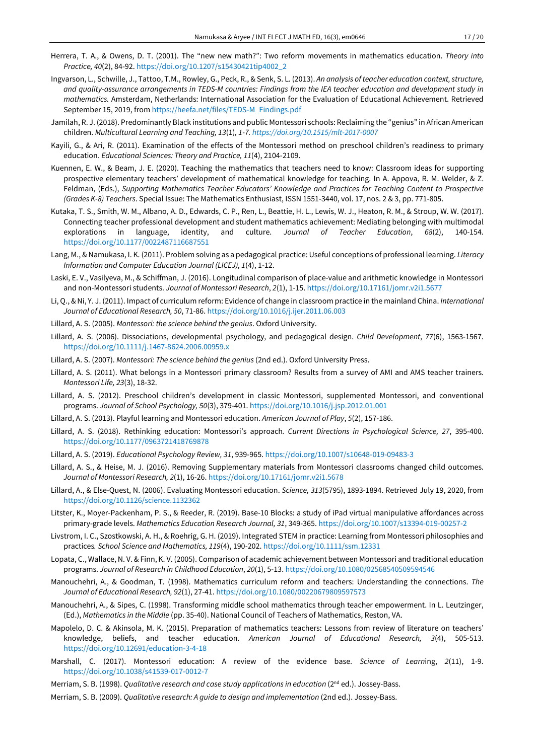- Herrera, T. A., & Owens, D. T. (2001). The "new new math?": Two reform movements in mathematics education. *Theory into Practice, 40*(2), 84-92. [https://doi.org/10.1207/s15430421tip4002\\_2](https://doi.org/10.1207/s15430421tip4002_2)
- Ingvarson, L., Schwille, J., Tattoo, T.M., Rowley, G., Peck, R., & Senk, S. L. (2013). *An analysis of teacher education context, structure,* and quality-assurance arrangements in TEDS-M countries: Findings from the IEA teacher education and development study in *mathematics.* Amsterdam, Netherlands: International Association for the Evaluation of Educational Achievement. Retrieved September 15, 2019, fro[m https://heefa.net/files/TEDS-M\\_Findings.pdf](https://heefa.net/files/TEDS-M_Findings.pdf)
- Jamilah, R. J. (2018). Predominantly Black institutions and public Montessori schools: Reclaiming the "genius" in African American children. *Multicultural Learning and Teaching, 13*(1)*, 1-7. <https://doi.org/10.1515/mlt-2017-0007>*
- Kayili, G., & Ari, R. (2011). Examination of the effects of the Montessori method on preschool children's readiness to primary education. *Educational Sciences: Theory and Practice, 11*(4), 2104-2109.
- Kuennen, E. W., & Beam, J. E. (2020). Teaching the mathematics that teachers need to know: Classroom ideas for supporting prospective elementary teachers' development of mathematical knowledge for teaching. In A. Appova, R. M. Welder, & Z. Feldman, (Eds.), *Supporting Mathematics Teacher Educators' Knowledge and Practices for Teaching Content to Prospective (Grades K-8) Teachers*. Special Issue: The Mathematics Enthusiast, ISSN 1551-3440, vol. 17, nos. 2 & 3, pp. 771-805.
- Kutaka, T. S., Smith, W. M., Albano, A. D., Edwards, C. P., Ren, L., Beattie, H. L., Lewis, W. J., Heaton, R. M., & Stroup, W. W. (2017). Connecting teacher professional development and student mathematics achievement: Mediating belonging with multimodal explorations in language, identity, and culture. *Journal of Teacher Education*, *68*(2), 140-154. <https://doi.org/10.1177/0022487116687551>
- Lang, M., & Namukasa, I. K. (2011). Problem solving as a pedagogical practice: Useful conceptions of professional learning. *Literacy Information and Computer Education Journal (LICEJ), 1*(4), 1-12.
- Laski, E. V., Vasilyeva, M., & Schiffman, J. (2016). Longitudinal comparison of place-value and arithmetic knowledge in Montessori and non-Montessori students. *Journal of Montessori Research*, *2*(1), 1-15. <https://doi.org/10.17161/jomr.v2i1.5677>
- Li, Q., & Ni, Y. J. (2011). Impact of curriculum reform: Evidence of change in classroom practice in the mainland China. *International Journal of Educational Research, 50*, 71-86. <https://doi.org/10.1016/j.ijer.2011.06.003>
- Lillard, A. S. (2005). *Montessori: the science behind the genius*. Oxford University.
- Lillard, A. S. (2006). Dissociations, developmental psychology, and pedagogical design. *Child Development*, *77*(6), 1563-1567. <https://doi.org/10.1111/j.1467-8624.2006.00959.x>
- Lillard, A. S. (2007). *Montessori: The science behind the genius* (2nd ed.). Oxford University Press.
- Lillard, A. S. (2011). What belongs in a Montessori primary classroom? Results from a survey of AMI and AMS teacher trainers. *Montessori Life, 23*(3), 18-32.
- Lillard, A. S. (2012). Preschool children's development in classic Montessori, supplemented Montessori, and conventional programs. *Journal of School Psychology, 50*(3), 379-401. <https://doi.org/10.1016/j.jsp.2012.01.001>
- Lillard, A. S. (2013). Playful learning and Montessori education. *American Journal of Play*, *5*(2), 157-186.
- Lillard, A. S. (2018). Rethinking education: Montessori's approach*. Current Directions in Psychological Science, 27*, 395-400. <https://doi.org/10.1177/0963721418769878>
- Lillard, A. S. (2019). *Educational Psychology Review, 31*, 939-965. <https://doi.org/10.1007/s10648-019-09483-3>
- Lillard, A. S., & Heise, M. J. (2016). Removing Supplementary materials from Montessori classrooms changed child outcomes. *Journal of Montessori Research, 2*(1), 16-26. <https://doi.org/10.17161/jomr.v2i1.5678>
- Lillard, A., & Else-Quest, N. (2006). Evaluating Montessori education. *Science, 313*(5795), 1893-1894. Retrieved July 19, 2020, from <https://doi.org/10.1126/science.1132362>
- Litster, K., Moyer-Packenham, P. S., & Reeder, R. (2019). Base-10 Blocks: a study of iPad virtual manipulative affordances across primary-grade levels. *Mathematics Education Research Journal, 31*, 349-365[. https://doi.org/10.1007/s13394-019-00257-2](https://doi.org/10.1007/s13394-019-00257-2)
- Livstrom, I. C., Szostkowski, A. H., & Roehrig, G. H. (2019). Integrated STEM in practice: Learning from Montessori philosophies and practices*. School Science and Mathematics, 119*(4), 190-202. <https://doi.org/10.1111/ssm.12331>
- Lopata, C., Wallace, N. V. & Finn, K. V. (2005). Comparison of academic achievement between Montessori and traditional education programs. *Journal of Research in Childhood Education*, *20*(1), 5-13. <https://doi.org/10.1080/02568540509594546>
- Manouchehri, A., & Goodman, T. (1998). Mathematics curriculum reform and teachers: Understanding the connections. *The Journal of Educational Research, 92*(1), 27-41[. https://doi.org/10.1080/00220679809597573](https://doi.org/10.1080/00220679809597573)
- Manouchehri, A., & Sipes, C. (1998). Transforming middle school mathematics through teacher empowerment. In L. Leutzinger, (Ed.), *Mathematics in the Middle* (pp. 35-40). National Council of Teachers of Mathematics, Reston, VA.
- Mapolelo, D. C. & Akinsola, M. K. (2015). Preparation of mathematics teachers: Lessons from review of literature on teachers' knowledge, beliefs, and teacher education. *American Journal of Educational Research, 3*(4), 505-513. <https://doi.org/10.12691/education-3-4-18>
- Marshall, C. (2017). Montessori education: A review of the evidence base. *Science of Learn*ing, *2*(11), 1-9. <https://doi.org/10.1038/s41539-017-0012-7>
- Merriam, S. B. (1998). *Qualitative research and case study applications in education* (2nd ed.). Jossey-Bass.
- Merriam, S. B. (2009). *Qualitative research: A guide to design and implementation* (2nd ed.). Jossey-Bass.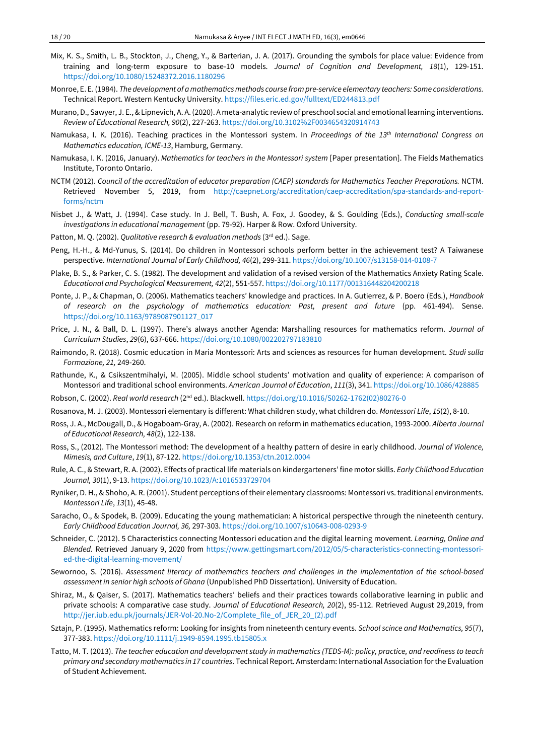- Mix, K. S., Smith, L. B., Stockton, J., Cheng, Y., & Barterian, J. A. (2017). Grounding the symbols for place value: Evidence from training and long-term exposure to base-10 models. *Journal of Cognition and Development, 18*(1), 129-151. <https://doi.org/10.1080/15248372.2016.1180296>
- Monroe, E. E.(1984). *The development of a mathematicsmethods course frompre-service elementary teachers: Some considerations.* Technical Report. Western Kentucky University. <https://files.eric.ed.gov/fulltext/ED244813.pdf>
- Murano, D., Sawyer, J. E., & Lipnevich, A. A. (2020). A meta-analytic review of preschool social and emotional learning interventions. *Review of Educational Research, 90*(2), 227-263. <https://doi.org/10.3102%2F0034654320914743>
- Namukasa, I. K. (2016). Teaching practices in the Montessori system. In *Proceedings of the 13th International Congress on Mathematics education, ICME-13*, Hamburg, Germany.
- Namukasa, I. K. (2016, January). *Mathematics for teachers in the Montessori system* [Paper presentation]. The Fields Mathematics Institute, Toronto Ontario.
- NCTM (2012). *Council of the accreditation of educator preparation (CAEP) standards for Mathematics Teacher Preparations.* NCTM. Retrieved November 5, 2019, from [http://caepnet.org/accreditation/caep-accreditation/spa-standards-and-report](http://caepnet.org/accreditation/caep-accreditation/spa-standards-and-report-forms/nctm)[forms/nctm](http://caepnet.org/accreditation/caep-accreditation/spa-standards-and-report-forms/nctm)
- Nisbet J., & Watt, J. (1994). Case study. In J. Bell, T. Bush, A. Fox, J. Goodey, & S. Goulding (Eds.), *Conducting small-scale investigations in educational management* (pp. 79-92). Harper & Row. Oxford University.
- Patton, M. Q. (2002). *Qualitative research & evaluation methods* (3rd ed.). Sage.
- Peng, H.-H., & Md-Yunus, S. (2014). Do children in Montessori schools perform better in the achievement test? A Taiwanese perspective. *International Journal of Early Childhood, 46*(2), 299-311. <https://doi.org/10.1007/s13158-014-0108-7>
- Plake, B. S., & Parker, C. S. (1982). The development and validation of a revised version of the Mathematics Anxiety Rating Scale. *Educational and Psychological Measurement, 42*(2), 551-557. <https://doi.org/10.1177/001316448204200218>
- Ponte, J. P., & Chapman, O. (2006). Mathematics teachers' knowledge and practices. In A. Gutierrez, & P. Boero (Eds.), *Handbook of research on the psychology of mathematics education: Past, present and future* (pp. 461-494). Sense. [https://doi.org/10.1163/9789087901127\\_017](https://doi.org/10.1163/9789087901127_017)
- Price, J. N., & Ball, D. L. (1997). There's always another Agenda: Marshalling resources for mathematics reform. *Journal of Curriculum Studies*, *29*(6), 637-666. <https://doi.org/10.1080/002202797183810>
- Raimondo, R. (2018). Cosmic education in Maria Montessori: Arts and sciences as resources for human development. *Studi sulla Formazione, 21,* 249-260.
- Rathunde, K., & Csikszentmihalyi, M. (2005). Middle school students' motivation and quality of experience: A comparison of Montessori and traditional school environments. *American Journal of Education*, *111*(3), 341. <https://doi.org/10.1086/428885>

Robson, C. (2002). *Real world research* (2nd ed.). Blackwell. [https://doi.org/10.1016/S0262-1762\(02\)80276-0](https://doi.org/10.1016/S0262-1762(02)80276-0) 

- Rosanova, M. J. (2003). Montessori elementary is different: What children study, what children do. *Montessori Life*, *15*(2), 8-10.
- Ross, J. A., McDougall, D., & Hogaboam-Gray, A. (2002). Research on reform in mathematics education, 1993-2000. *Alberta Journal of Educational Research, 48*(2), 122-138.
- Ross, S., (2012). The Montessori method: The development of a healthy pattern of desire in early childhood. *Journal of Violence, Mimesis, and Culture*, *19*(1), 87-122. <https://doi.org/10.1353/ctn.2012.0004>
- Rule, A. C., & Stewart, R. A. (2002). Effects of practical life materials on kindergarteners' fine motor skills. *Early Childhood Education Journal, 30*(1), 9-13. <https://doi.org/10.1023/A:1016533729704>
- Ryniker, D. H., & Shoho, A. R. (2001). Student perceptions of their elementary classrooms: Montessori vs. traditional environments. *Montessori Life*, *13*(1), 45-48.
- Saracho, O., & Spodek, B. (2009). Educating the young mathematician: A historical perspective through the nineteenth century. *Early Childhood Education Journal, 36,* 297-303. <https://doi.org/10.1007/s10643-008-0293-9>
- Schneider, C. (2012). 5 Characteristics connecting Montessori education and the digital learning movement. *Learning, Online and Blended.* Retrieved January 9, 2020 from [https://www.gettingsmart.com/2012/05/5-characteristics-connecting-montessori](https://www.gettingsmart.com/2012/05/5-characteristics-connecting-montessori-ed-the-digital-learning-movement/)[ed-the-digital-learning-movement/](https://www.gettingsmart.com/2012/05/5-characteristics-connecting-montessori-ed-the-digital-learning-movement/)
- Sewornoo, S. (2016). *Assessment literacy of mathematics teachers and challenges in the implementation of the school-based assessment in senior high schools of Ghana* (Unpublished PhD Dissertation). University of Education.
- Shiraz, M., & Qaiser, S. (2017). Mathematics teachers' beliefs and their practices towards collaborative learning in public and private schools: A comparative case study. *Journal of Educational Research, 20*(2), 95-112. Retrieved August 29,2019, from [http://jer.iub.edu.pk/journals/JER-Vol-20.No-2/Complete\\_file\\_of\\_JER\\_20\\_\(2\).pdf](http://jer.iub.edu.pk/journals/JER-Vol-20.No-2/Complete_file_of_JER_20_(2).pdf)
- Sztajn, P. (1995). Mathematics reform: Looking for insights from nineteenth century events. *School scince and Mathematics, 95*(7), 377-383. <https://doi.org/10.1111/j.1949-8594.1995.tb15805.x>
- Tatto, M. T. (2013). The teacher education and development study in mathematics (TEDS-M): policy, practice, and readiness to teach *primary and secondarymathematics in 17 countries*. Technical Report. Amsterdam: International Association forthe Evaluation of Student Achievement.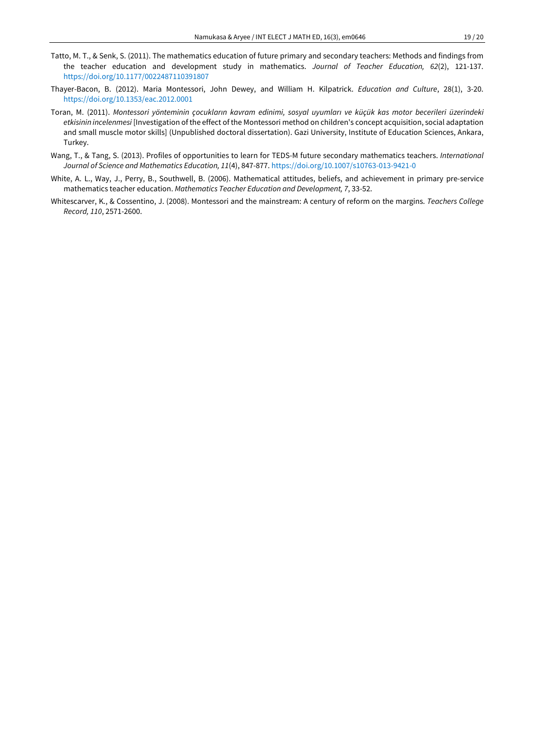- Tatto, M. T., & Senk, S. (2011). The mathematics education of future primary and secondary teachers: Methods and findings from the teacher education and development study in mathematics. *Journal of Teacher Education, 62*(2), 121-137. <https://doi.org/10.1177/0022487110391807>
- Thayer-Bacon, B. (2012). Maria Montessori, John Dewey, and William H. Kilpatrick. *Education and Culture*, 28(1), 3-20. <https://doi.org/10.1353/eac.2012.0001>
- Toran, M. (2011). *Montessori yönteminin çocukların kavram edinimi, sosyal uyumları ve küçük kas motor becerileri üzerindeki etkisinin incelenmesi* [Investigation of the effect of the Montessori method on children's concept acquisition, social adaptation and small muscle motor skills] (Unpublished doctoral dissertation). Gazi University, Institute of Education Sciences, Ankara, Turkey.
- Wang, T., & Tang, S. (2013). Profiles of opportunities to learn for TEDS-M future secondary mathematics teachers. *International Journal of Science and Mathematics Education, 11*(4), 847-877. <https://doi.org/10.1007/s10763-013-9421-0>
- White, A. L., Way, J., Perry, B., Southwell, B. (2006). Mathematical attitudes, beliefs, and achievement in primary pre-service mathematics teacher education. *Mathematics Teacher Education and Development, 7*, 33-52.
- Whitescarver, K., & Cossentino, J. (2008). Montessori and the mainstream: A century of reform on the margins. *Teachers College Record, 110*, 2571-2600.